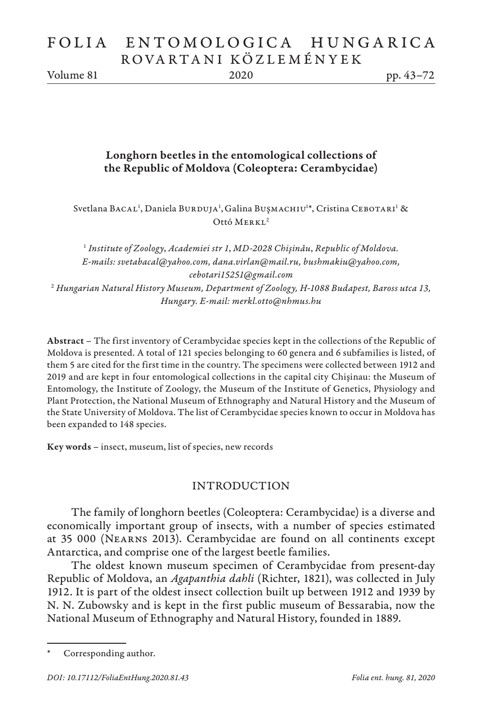# FOLIA ENTOMOLOGICA HUNGARICA ROVARTANI KÖZLEMÉNYEK

Volume 81 2020 pp. 43–72

# Longhorn beetles in the entomological collections of the Republic of Moldova (Coleoptera: Cerambycidae)

Svetlana BACAL<sup>1</sup>, Daniela BURDUJA<sup>1</sup>, Galina BUŞMACHIU<sup>1</sup>\*, Cristina CEBOTARI<sup>1</sup> & Ottó MERKL<sup>2</sup>

<sup>1</sup> *Institute of Zoology*, *Academiei str 1*, *MD-2028 Chişinău*, *Republic of Moldova. E-mails: svetabacal@yahoo.com, dana.virlan@mail.ru, bushmakiu@yahoo.com, cebotari15251@gmail.com* 2  *Hungarian Natural History Museum, Department of Zoology, H-1088 Budapest, Baross utca 13, Hungary. E-mail: merkl.otto@nhmus.hu*

Abstract – The first inventory of Cerambycidae species kept in the collections of the Republic of Moldova is presented. A total of 121 species belonging to 60 genera and 6 subfamilies is listed, of them 5 are cited for the first time in the country. The specimens were collected between 1912 and 2019 and are kept in four entomological collections in the capital city Chişinau: the Museum of Entomology, the Institute of Zoology, the Museum of the Institute of Genetics, Physiology and Plant Protection, the National Museum of Ethnography and Natural History and the Museum of the State University of Moldova. The list of Cerambycidae species known to occur in Moldova has been expanded to 148 species.

Key words – insect, museum, list of species, new records

# INTRODUCTION

The family of longhorn beetles (Coleoptera: Cerambycidae) is a diverse and economically important group of insects, with a number of species estimated at 35 000 (Nearns 2013). Cerambycidae are found on all continents except Antarctica, and comprise one of the largest beetle families.

The oldest known museum specimen of Cerambycidae from present-day Republic of Moldova, an *Agapanthia dahli* (Richter, 1821), was collected in July 1912. It is part of the oldest insect collection built up between 1912 and 1939 by N. N. Zubowsky and is kept in the first public museum of Bessarabia, now the National Museum of Ethnography and Natural History, founded in 1889.

Corresponding author.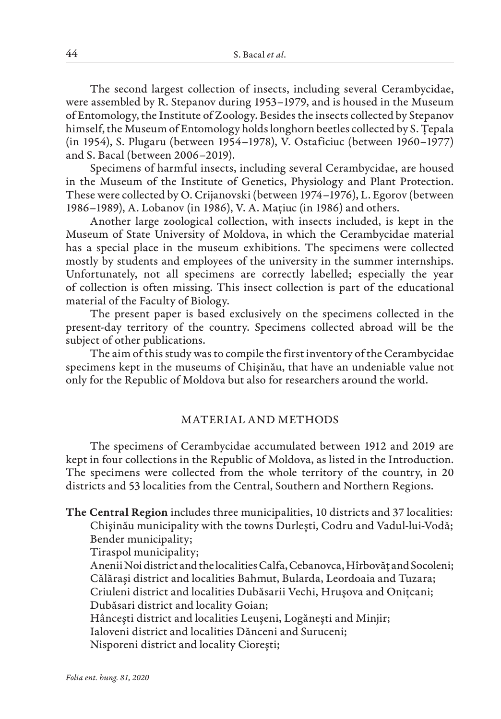The second largest collection of insects, including several Cerambycidae, were assembled by R. Stepanov during 1953–1979, and is housed in the Museum of Entomology, the Institute of Zoology. Besides the insects collected by Stepanov himself, the Museum of Entomology holds longhorn beetles collected by S. Țepala (in 1954), S. Plugaru (between 1954–1978), V. Ostaficiuc (between 1960–1977) and S. Bacal (between 2006–2019).

Specimens of harmful insects, including several Cerambycidae, are housed in the Museum of the Institute of Genetics, Physiology and Plant Protection. These were collected by O. Crijanovski (between 1974–1976), L. Egorov (between 1986–1989), A. Lobanov (in 1986), V. A. Mațiuc (in 1986) and others.

Another large zoological collection, with insects included, is kept in the Museum of State University of Moldova, in which the Cerambycidae material has a special place in the museum exhibitions. The specimens were collected mostly by students and employees of the university in the summer internships. Unfortunately, not all specimens are correctly labelled; especially the year of collection is often missing. This insect collection is part of the educational material of the Faculty of Biology.

The present paper is based exclusively on the specimens collected in the present-day territory of the country. Specimens collected abroad will be the subject of other publications.

The aim of this study was to compile the first inventory of the Cerambycidae specimens kept in the museums of Chişinău, that have an undeniable value not only for the Republic of Moldova but also for researchers around the world.

### MATERIAL AND METHODS

The specimens of Cerambycidae accumulated between 1912 and 2019 are kept in four collections in the Republic of Moldova, as listed in the Introduction. The specimens were collected from the whole territory of the country, in 20 districts and 53 localities from the Central, Southern and Northern Regions.

The Central Region includes three municipalities, 10 districts and 37 localities: Chişinău municipality with the towns Durleşti, Codru and Vadul-lui-Vodă; Bender municipality;

Tiraspol municipality;

Anenii Noi district and the localities Calfa, Cebanovca, Hîrbovăţ and Socoleni; Călăraşi district and localities Bahmut, Bularda, Leordoaia and Tuzara; Criuleni district and localities Dubăsarii Vechi, Hruşova and Onițcani; Dubăsari district and locality Goian; Hânceşti district and localities Leuşeni, Logăneşti and Minjir;

Ialoveni district and localities Dănceni and Suruceni;

Nisporeni district and locality Cioreşti;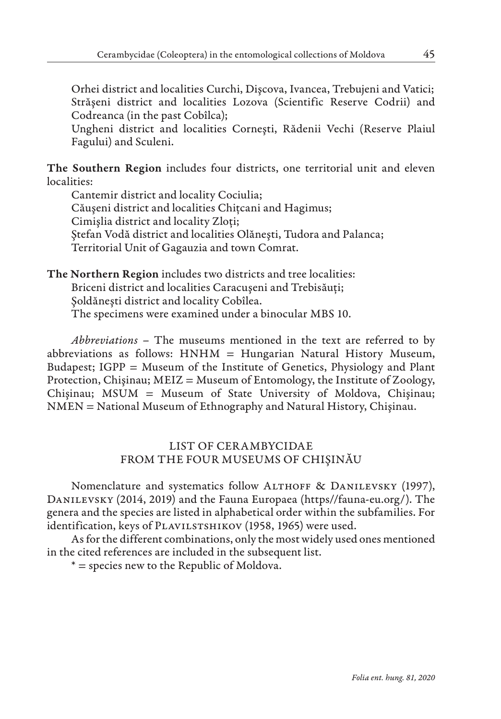Orhei district and localities Curchi, Dişcova, Ivancea, Trebujeni and Vatici; Străşeni district and localities Lozova (Scientific Reserve Codrii) and Codreanca (in the past Cobîlca);

Ungheni district and localities Corneşti, Rădenii Vechi (Reserve Plaiul Fagului) and Sculeni.

The Southern Region includes four districts, one territorial unit and eleven localities:

Cantemir district and locality Cociulia; Căuşeni district and localities Chițcani and Hagimus; Cimişlia district and locality Zloți; Ştefan Vodă district and localities Olăneşti, Tudora and Palanca; Territorial Unit of Gagauzia and town Comrat.

The Northern Region includes two districts and tree localities: Briceni district and localities Caracuşeni and Trebisăuți; Şoldăneşti district and locality Cobîlea.

The specimens were examined under a binocular MBS 10.

*Abbreviations* – The museums mentioned in the text are referred to by abbreviations as follows: HNHM = Hungarian Natural History Museum, Budapest; IGPP = Museum of the Institute of Genetics, Physiology and Plant Protection, Chişinau; MEIZ = Museum of Entomology, the Institute of Zoology, Chişinau; MSUM = Museum of State University of Moldova, Chişinau; NMEN = National Museum of Ethnography and Natural History, Chişinau.

# LIST OF CERAMBYCIDAE FROM THE FOUR MUSEUMS OF CHIŞINĂU

Nomenclature and systematics follow ALTHOFF & DANILEVSKY (1997), Danilevsky (2014, 2019) and the Fauna Europaea (https//fauna-eu.org/). The genera and the species are listed in alphabetical order within the subfamilies. For identification, keys of PLAVILSTSHIKOV (1958, 1965) were used.

As for the different combinations, only the most widely used ones mentioned in the cited references are included in the subsequent list.

\* = species new to the Republic of Moldova.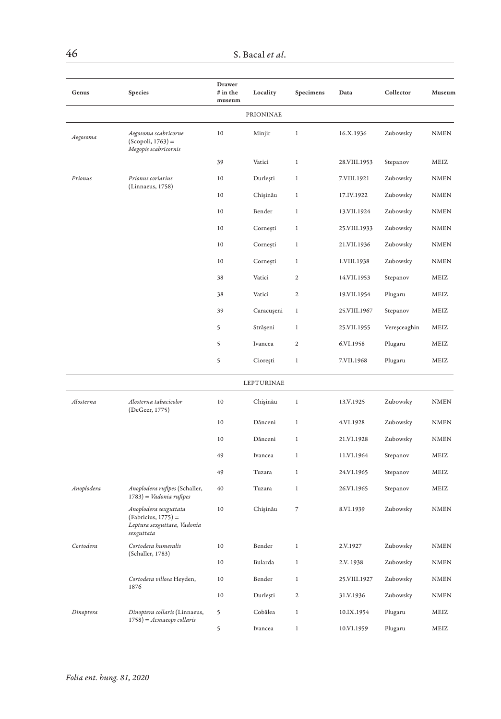| Genus      | Species                                                                                     | Drawer<br># in the<br>museum | Locality   | Specimens      | Data         | Collector    | Museum          |
|------------|---------------------------------------------------------------------------------------------|------------------------------|------------|----------------|--------------|--------------|-----------------|
|            |                                                                                             |                              | PRIONINAE  |                |              |              |                 |
| Aegosoma   | Aegosoma scabricorne<br>$(Scopoli, 1763) =$<br>Megopis scabricornis                         | 10                           | Minjir     | $\,$ 1         | 16.X.1936    | Zubowsky     | <b>NMEN</b>     |
|            |                                                                                             | 39                           | Vatici     | $\,1$          | 28.VIII.1953 | Stepanov     | MEIZ            |
| Prionus    | Prionus coriarius                                                                           | 10                           | Durleşti   | $\,1$          | 7.VIII.1921  | Zubowsky     | NMEN            |
|            | (Linnaeus, 1758)                                                                            | 10                           | Chișinău   | 1              | 17.IV.1922   | Zubowsky     | <b>NMEN</b>     |
|            |                                                                                             | 10                           | Bender     | $\mathbf{1}$   | 13.VII.1924  | Zubowsky     | <b>NMEN</b>     |
|            |                                                                                             | 10                           | Cornești   | 1              | 25.VIII.1933 | Zubowsky     | <b>NMEN</b>     |
|            |                                                                                             | 10                           | Cornești   | $\,1$          | 21.VII.1936  | Zubowsky     | <b>NMEN</b>     |
|            |                                                                                             | 10                           | Cornești   | $\,1$          | 1.VIII.1938  | Zubowsky     | <b>NMEN</b>     |
|            |                                                                                             | 38                           | Vatici     | 2              | 14.VII.1953  | Stepanov     | MEIZ            |
|            |                                                                                             | 38                           | Vatici     | 2              | 19.VII.1954  | Plugaru      | MEIZ            |
|            |                                                                                             | 39                           | Caracuşeni | $\mathbf{1}$   | 25.VIII.1967 | Stepanov     | MEIZ            |
|            |                                                                                             | 5                            | Strășeni   | $\mathbf{1}$   | 25.VII.1955  | Vereșceaghin | MEIZ            |
|            |                                                                                             | 5                            | Ivancea    | $\mathbf{2}$   | 6.VI.1958    | Plugaru      | MEIZ            |
|            |                                                                                             | 5                            | Ciorești   | $\,1$          | 7.VII.1968   | Plugaru      | MEIZ            |
|            |                                                                                             |                              | LEPTURINAE |                |              |              |                 |
| Alosterna  | Alosterna tabacicolor<br>(DeGeer, 1775)                                                     | 10                           | Chișinău   | $\,1$          | 13.V.1925    | Zubowsky     | $\textup{NMEN}$ |
|            |                                                                                             | 10                           | Dănceni    | $\,1$          | 4.VI.1928    | Zubowsky     | <b>NMEN</b>     |
|            |                                                                                             | 10                           | Dănceni    | $\,1$          | 21.VI.1928   | Zubowsky     | NMEN            |
|            |                                                                                             | 49                           | Ivancea    | $\mathbf{1}$   | 11.VI.1964   | Stepanov     | MEIZ            |
|            |                                                                                             | 49                           | Tuzara     | $\,1$          | 24.VI.1965   | Stepanov     | MEIZ            |
| Anoplodera | Anoplodera rufipes (Schaller,<br>1783) = Vadonia rufipes                                    | 40                           | Tuzara     | 1              | 26.VI.1965   | Stepanov     | MEIZ            |
|            | Anoplodera sexguttata<br>$(Fabricius, 1775) =$<br>Leptura sexguttata, Vadonia<br>sexguttata | 10                           | Chișinău   | $\overline{7}$ | 8.VI.1939    | Zubowsky     | <b>NMEN</b>     |
| Cortodera  | Cortodera humeralis<br>(Schaller, 1783)                                                     | 10                           | Bender     | $\,1$          | 2.V.1927     | Zubowsky     | <b>NMEN</b>     |
|            |                                                                                             | $10$                         | Bularda    | 1              | 2.V. 1938    | Zubowsky     | <b>NMEN</b>     |
|            | Cortodera villosa Heyden,<br>1876                                                           | 10                           | Bender     | $\mathbf{1}$   | 25.VIII.1927 | Zubowsky     | <b>NMEN</b>     |
|            |                                                                                             | 10                           | Durleşti   | $\mathbf{2}$   | 31.V.1936    | Zubowsky     | <b>NMEN</b>     |
| Dinoptera  | Dinoptera collaris (Linnaeus,                                                               | 5                            | Cobâlea    | $\mathbf{1}$   | 10.IX.1954   | Plugaru      | MEIZ            |
|            | $1758$ ) = $A$ cmaeops collaris                                                             | 5                            | Ivancea    | $\mathbf{1}$   | 10.VI.1959   | Plugaru      | MEIZ            |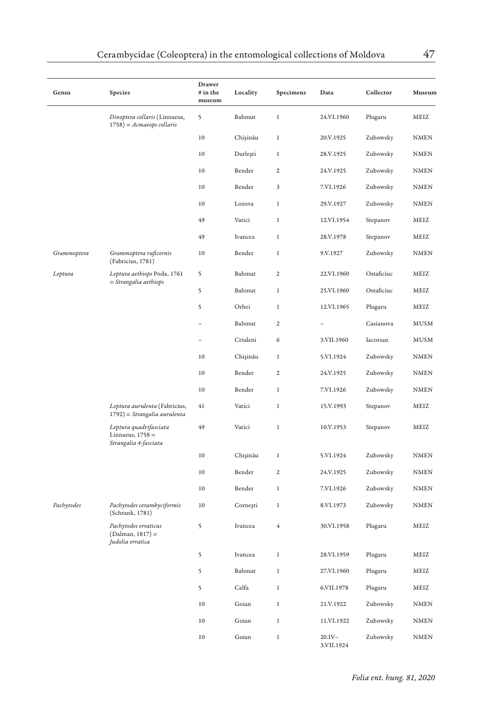| Genus       | Species                                                               | Drawer<br># in the<br>museum | Locality | Specimens        | Data                    | Collector  | Museum      |
|-------------|-----------------------------------------------------------------------|------------------------------|----------|------------------|-------------------------|------------|-------------|
|             | Dinoptera collaris (Linnaeus,<br>$1758$ ) = Acmaeops collaris         | 5                            | Bahmut   | $\,1\,$          | 24.VI.1960              | Plugaru    | MEIZ        |
|             |                                                                       | 10                           | Chișinău | 1                | 20.V.1925               | Zubowsky   | NMEN        |
|             |                                                                       | 10                           | Durleşti | $\mathbf{1}$     | 28.V.1925               | Zubowsky   | <b>NMEN</b> |
|             |                                                                       | 10                           | Bender   | $\mathbf{2}$     | 24.V.1925               | Zubowsky   | <b>NMEN</b> |
|             |                                                                       | 10                           | Bender   | 3                | 7.VI.1926               | Zubowsky   | <b>NMEN</b> |
|             |                                                                       | 10                           | Lozova   | $\,1$            | 29.V.1927               | Zubowsky   | <b>NMEN</b> |
|             |                                                                       | 49                           | Vatici   | $\,1$            | 12.VI.1954              | Stepanov   | MEIZ        |
|             |                                                                       | 49                           | Ivancea  | $\mathbf{1}$     | 28.V.1978               | Stepanov   | MEIZ        |
| Grammoptera | Grammoptera ruficornis<br>(Fabricius, 1781)                           | 10                           | Bender   | $\mathbf{1}$     | 9.V.1927                | Zubowsky   | <b>NMEN</b> |
| Leptura     | Leptura aethiops Poda, 1761<br>$=$ Strangalia aethiops                | 5                            | Bahmut   | $\overline{2}$   | 22.VI.1960              | Ostaficiuc | MEIZ        |
|             |                                                                       | 5                            | Bahmut   | $\,1\,$          | 25.VI.1960              | Ostaficiuc | MEIZ        |
|             |                                                                       | 5                            | Orhei    | $\,1\,$          | 12.VI.1965              | Plugaru    | MEIZ        |
|             |                                                                       |                              | Bahmut   | $\overline{c}$   |                         | Casianova  | <b>MUSM</b> |
|             |                                                                       |                              | Criuleni | 6                | 3.VII.1960              | Iacorsan   | <b>MUSM</b> |
|             |                                                                       | 10                           | Chișinău | $\,1$            | 5.VI.1924               | Zubowsky   | <b>NMEN</b> |
|             |                                                                       | 10                           | Bender   | $\overline{a}$   | 24.V.1925               | Zubowsky   | <b>NMEN</b> |
|             |                                                                       | 10                           | Bender   | $\,1\,$          | 7.VI.1926               | Zubowsky   | <b>NMEN</b> |
|             | Leptura aurulenta (Fabricius,<br>1792) = Strangalia aurulenta         | 41                           | Vatici   | 1                | 15.V.1993               | Stepanov   | MEIZ        |
|             | Leptura quadrifasciata<br>Linnaeus, $1758 =$<br>Strangalia 4-fasciata | 49                           | Vatici   | $\mathbf{1}$     | 10.V.1953               | Stepanov   | MEIZ        |
|             |                                                                       | 10                           | Chișinău | $\,1$            | 5.VI.1924               | Zubowsky   | <b>NMEN</b> |
|             |                                                                       | 10                           | Bender   | $\boldsymbol{2}$ | 24.V.1925               | Zubowsky   | <b>NMEN</b> |
|             |                                                                       | 10                           | Bender   | 1                | 7.VI.1926               | Zubowsky   | <b>NMEN</b> |
| Pachytodes  | Pachytodes cerambyciformis<br>(Schrank, 1781)                         | 10                           | Cornești | $\mathbf{1}$     | 8.VI.1973               | Zubowsky   | <b>NMEN</b> |
|             | Pachytodes erraticus<br>$(Dalman, 1817) =$<br>Judolia erratica        | 5                            | Ivancea  | 4                | 30.VI.1958              | Plugaru    | MEIZ        |
|             |                                                                       | 5                            | Ivancea  | 1                | 28.VI.1959              | Plugaru    | MEIZ        |
|             |                                                                       | 5                            | Bahmut   | $\,1$            | 27.VI.1960              | Plugaru    | MEIZ        |
|             |                                                                       | 5                            | Calfa    | $\,1$            | 6.VII.1978              | Plugaru    | MEIZ        |
|             |                                                                       | 10                           | Goian    | $\mathbf{1}$     | 21.V.1922               | Zubowsky   | <b>NMEN</b> |
|             |                                                                       | 10                           | Goian    | $\,1$            | 11.VI.1922              | Zubowsky   | <b>NMEN</b> |
|             |                                                                       | 10                           | Goian    | 1                | $20.IV -$<br>3.VII.1924 | Zubowsky   | <b>NMEN</b> |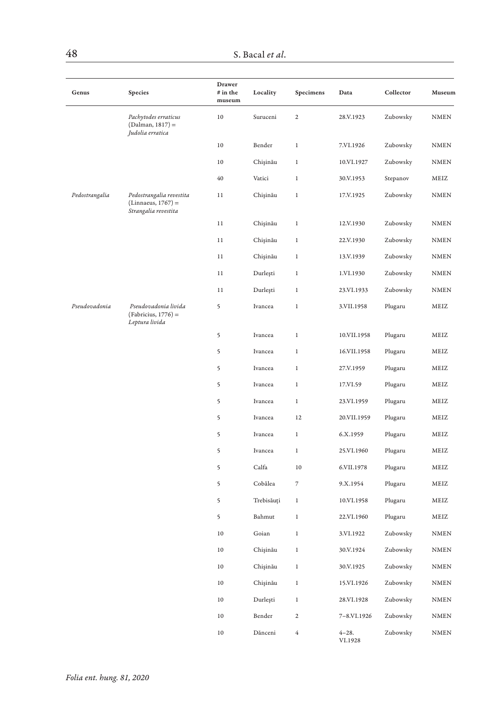| Genus          | Species                                                                  | Drawer<br># in the<br>museum | Locality   | Specimens                | Data                 | Collector | Museum                       |
|----------------|--------------------------------------------------------------------------|------------------------------|------------|--------------------------|----------------------|-----------|------------------------------|
|                | Pachytodes erraticus<br>(Dalman, 1817) =<br>Judolia erratica             | $10$                         | Suruceni   | $\mathbf 2$              | 28.V.1923            | Zubowsky  | $\ensuremath{\mathsf{NMEN}}$ |
|                |                                                                          | $10\,$                       | Bender     | $\,1$                    | 7.VI.1926            | Zubowsky  | $\textsc{NMEN}\xspace$       |
|                |                                                                          | 10                           | Chișinău   | $\,1$                    | 10.VI.1927           | Zubowsky  | <b>NMEN</b>                  |
|                |                                                                          | 40                           | Vatici     | $\,1$                    | 30.V.1953            | Stepanov  | MEIZ                         |
| Pedostrangalia | Pedostrangalia revestita<br>$(Linnaeus, 1767) =$<br>Strangalia revestita | 11                           | Chișinău   | $\,1$                    | 17.V.1925            | Zubowsky  | <b>NMEN</b>                  |
|                |                                                                          | 11                           | Chișinău   | $\,1$                    | 12.V.1930            | Zubowsky  | $\textsc{NMEN}\xspace$       |
|                |                                                                          | 11                           | Chişinău   | $\,1$                    | 22.V.1930            | Zubowsky  | <b>NMEN</b>                  |
|                |                                                                          | 11                           | Chişinău   | $\,1$                    | 13.V.1939            | Zubowsky  | NMEN                         |
|                |                                                                          | 11                           | Durleşti   | $\,1$                    | 1.VI.1930            | Zubowsky  | <b>NMEN</b>                  |
|                |                                                                          | 11                           | Durlești   | $\,1$                    | 23.VI.1933           | Zubowsky  | <b>NMEN</b>                  |
| Pseudovadonia  | Pseudovadonia livida<br>$(Fabricius, 1776) =$<br>Leptura livida          | 5                            | Ivancea    | $\,1$                    | 3.VII.1958           | Plugaru   | MEIZ                         |
|                |                                                                          | 5                            | Ivancea    | $\,1$                    | 10.VII.1958          | Plugaru   | MEIZ                         |
|                |                                                                          | 5                            | Ivancea    | 1                        | 16.VII.1958          | Plugaru   | MEIZ                         |
|                |                                                                          | 5                            | Ivancea    | $1\,$                    | 27.V.1959            | Plugaru   | MEIZ                         |
|                |                                                                          | 5                            | Ivancea    | $\,1$                    | 17.VI.59             | Plugaru   | MEIZ                         |
|                |                                                                          | 5                            | Ivancea    | $\,1$                    | 23.VI.1959           | Plugaru   | MEIZ                         |
|                |                                                                          | 5                            | Ivancea    | 12                       | 20.VII.1959          | Plugaru   | MEIZ                         |
|                |                                                                          | 5                            | Ivancea    | $\,1$                    | 6.X.1959             | Plugaru   | MEIZ                         |
|                |                                                                          | 5                            | Ivancea    | $\mathbf{1}$             | 25.VI.1960           | Plugaru   | MEIZ                         |
|                |                                                                          | 5                            | Calfa      | 10                       | 6.VII.1978           | Plugaru   | MEIZ                         |
|                |                                                                          | 5                            | Cobâlea    | $\overline{\phantom{a}}$ | 9.X.1954             | Plugaru   | MEIZ                         |
|                |                                                                          | 5                            | Trebisăuți | $\mathbf{1}$             | 10.VI.1958           | Plugaru   | MEIZ                         |
|                |                                                                          | 5                            | Bahmut     | $1\,$                    | 22.VI.1960           | Plugaru   | MEIZ                         |
|                |                                                                          | 10                           | Goian      | $\,1$                    | 3.VI.1922            | Zubowsky  | NMEN                         |
|                |                                                                          | $10\,$                       | Chișinău   | $\,1$                    | 30.V.1924            | Zubowsky  | $\textsc{NMEN}\xspace$       |
|                |                                                                          | 10                           | Chișinău   | $1\,$                    | 30.V.1925            | Zubowsky  | <b>NMEN</b>                  |
|                |                                                                          | 10                           | Chişinău   | $\,1$                    | 15.VI.1926           | Zubowsky  | NMEN                         |
|                |                                                                          | $10\,$                       | Durleşti   | $\mathbf{1}$             | 28.VI.1928           | Zubowsky  | <b>NMEN</b>                  |
|                |                                                                          | 10                           | Bender     | $\mathbf{2}$             | 7-8.VI.1926          | Zubowsky  | <b>NMEN</b>                  |
|                |                                                                          | 10                           | Dănceni    | $\bf 4$                  | $4 - 28.$<br>VI.1928 | Zubowsky  | $\textsc{NMEN}\xspace$       |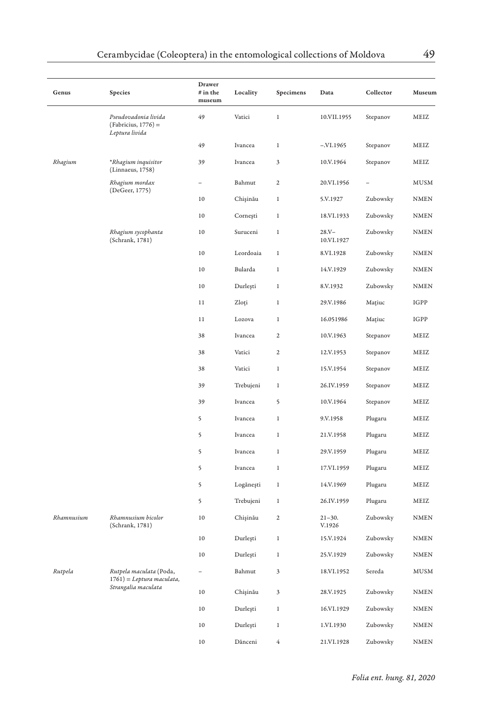| Genus                            | Species                                                         | Drawer<br>$#$ in the<br>museum | Locality  | Specimens    | Data                   | Collector | Museum      |
|----------------------------------|-----------------------------------------------------------------|--------------------------------|-----------|--------------|------------------------|-----------|-------------|
|                                  | Pseudovadonia livida<br>$(Fabricius, 1776) =$<br>Leptura livida | 49                             | Vatici    | $\,1$        | 10.VII.1955            | Stepanov  | MEIZ        |
|                                  |                                                                 | 49                             | Ivancea   | $\,1$        | $-.VI.1965$            | Stepanov  | MEIZ        |
| Rhagium                          | *Rhagium inquisitor<br>(Linnaeus, 1758)                         | 39                             | Ivancea   | 3            | 10.V.1964              | Stepanov  | MEIZ        |
| Rhagium mordax<br>(DeGeer, 1775) |                                                                 | $\overline{\phantom{0}}$       | Bahmut    | $\mathbf{2}$ | 20.VI.1956             |           | <b>MUSM</b> |
|                                  |                                                                 | 10                             | Chișinău  | $\,1$        | 5.V.1927               | Zubowsky  | <b>NMEN</b> |
|                                  |                                                                 | 10                             | Cornești  | $\,1$        | 18.VI.1933             | Zubowsky  | <b>NMEN</b> |
|                                  | Rhagium sycophanta<br>(Schrank, 1781)                           | 10                             | Suruceni  | 1            | $28.Y -$<br>10.VI.1927 | Zubowsky  | NMEN        |
|                                  |                                                                 | $10\,$                         | Leordoaia | $\mathbf{1}$ | 8.VI.1928              | Zubowsky  | <b>NMEN</b> |
|                                  |                                                                 | 10                             | Bularda   | $\,1$        | 14.V.1929              | Zubowsky  | <b>NMEN</b> |
|                                  |                                                                 | 10                             | Durlești  | $\,1$        | 8.V.1932               | Zubowsky  | NMEN        |
|                                  |                                                                 | 11                             | Zloți     | $\mathbf{1}$ | 29.V.1986              | Mațiuc    | IGPP        |
|                                  |                                                                 | 11                             | Lozova    | $\,1$        | 16.051986              | Mațiuc    | IGPP        |
|                                  |                                                                 | 38                             | Ivancea   | 2            | 10.V.1963              | Stepanov  | MEIZ        |
|                                  |                                                                 | 38                             | Vatici    | $\mathbf{2}$ | 12.V.1953              | Stepanov  | MEIZ        |
|                                  |                                                                 | 38                             | Vatici    | $\,1$        | 15.V.1954              | Stepanov  | MEIZ        |
|                                  |                                                                 | 39                             | Trebujeni | $\,1$        | 26.IV.1959             | Stepanov  | MEIZ        |
|                                  |                                                                 | 39                             | Ivancea   | 5            | 10.V.1964              | Stepanov  | MEIZ        |
|                                  |                                                                 | 5                              | Ivancea   | $\,1$        | 9.V.1958               | Plugaru   | MEIZ        |
|                                  |                                                                 | 5                              | Ivancea   | $\,1$        | 21.V.1958              | Plugaru   | MEIZ        |
|                                  |                                                                 | 5                              | Ivancea   | 1            | 29.V.1959              | Plugaru   | MEIZ        |
|                                  |                                                                 | 5                              | Ivancea   | $\mathbf{1}$ | 17.VI.1959             | Plugaru   | MEIZ        |
|                                  |                                                                 | 5                              | Logănești | $\,1$        | 14.V.1969              | Plugaru   | MEIZ        |
|                                  |                                                                 | 5                              | Trebujeni | $\,1$        | 26.IV.1959             | Plugaru   | MEIZ        |
| Rhamnusium                       | Rhamnusium bicolor<br>(Schrank, 1781)                           | $10$                           | Chișinău  | $\mathbf{2}$ | $21 - 30.$<br>V.1926   | Zubowsky  | <b>NMEN</b> |
|                                  |                                                                 | 10                             | Durleşti  | $\,1$        | 15.V.1924              | Zubowsky  | <b>NMEN</b> |
|                                  |                                                                 | 10                             | Durlești  | $\,1$        | 25.V.1929              | Zubowsky  | <b>NMEN</b> |
| Rutpela                          | Rutpela maculata (Poda,<br>$1761$ ) = Leptura maculata,         | $\equiv$                       | Bahmut    | 3            | 18.VI.1952             | Sereda    | MUSM        |
|                                  | Strangalia maculata                                             | $10\,$                         | Chișinău  | 3            | 28.V.1925              | Zubowsky  | <b>NMEN</b> |
|                                  |                                                                 | 10                             | Durlești  | $\,1$        | 16.VI.1929             | Zubowsky  | <b>NMEN</b> |
|                                  |                                                                 | 10                             | Durleşti  | $\,1\,$      | 1.VI.1930              | Zubowsky  | NMEN        |
|                                  |                                                                 | 10                             | Dănceni   | 4            | 21.VI.1928             | Zubowsky  | <b>NMEN</b> |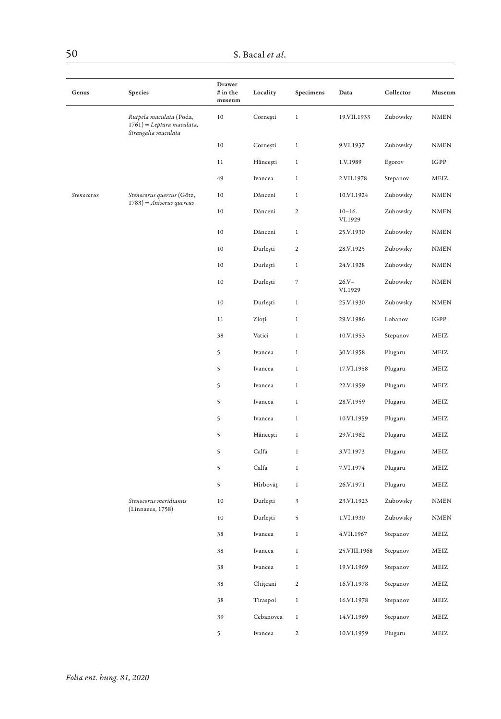| Genus      | Species                                                                        | Drawer<br># in the<br>museum | Locality  | Specimens                | Data                  | Collector | Museum                 |
|------------|--------------------------------------------------------------------------------|------------------------------|-----------|--------------------------|-----------------------|-----------|------------------------|
|            | Rutpela maculata (Poda,<br>$1761$ ) = Leptura maculata,<br>Strangalia maculata | $10$                         | Cornești  | $\,1$                    | 19.VII.1933           | Zubowsky  | $\textsc{NMEN}\xspace$ |
|            |                                                                                | 10                           | Cornești  | $\,1$                    | 9.VI.1937             | Zubowsky  | <b>NMEN</b>            |
|            |                                                                                | $11\,$                       | Hâncești  | $\,1$                    | 1.V.1989              | Egorov    | $_{\rm IGPP}$          |
|            |                                                                                | 49                           | Ivancea   | $\,1$                    | 2.VII.1978            | Stepanov  | MEIZ                   |
| Stenocorus | Stenocorus quercus (Götz,<br>$1783$ ) = Anisorus quercus                       | 10                           | Dănceni   | $\,1$                    | 10.VI.1924            | Zubowsky  | <b>NMEN</b>            |
|            |                                                                                | 10                           | Dănceni   | $\boldsymbol{2}$         | $10 - 16.$<br>VI.1929 | Zubowsky  | <b>NMEN</b>            |
|            |                                                                                | 10                           | Dănceni   | $\,1$                    | 25.V.1930             | Zubowsky  | <b>NMEN</b>            |
|            |                                                                                | 10                           | Durleşti  | $\overline{2}$           | 28.V.1925             | Zubowsky  | $\texttt{NMEN}$        |
|            |                                                                                | 10                           | Durleşti  | $\,1$                    | 24.V.1928             | Zubowsky  | <b>NMEN</b>            |
|            |                                                                                | 10                           | Durleşti  | $\overline{\phantom{a}}$ | $26. V -$<br>VI.1929  | Zubowsky  | <b>NMEN</b>            |
|            |                                                                                | 10                           | Durleşti  | $\,1$                    | 25.V.1930             | Zubowsky  | <b>NMEN</b>            |
|            |                                                                                | 11                           | Zloți     | $\,1$                    | 29.V.1986             | Lobanov   | IGPP                   |
|            |                                                                                | 38                           | Vatici    | $\,1$                    | 10.V.1953             | Stepanov  | MEIZ                   |
|            |                                                                                | 5                            | Ivancea   | $\,1$                    | 30.V.1958             | Plugaru   | MEIZ                   |
|            |                                                                                | 5                            | Ivancea   | $\,1$                    | 17.VI.1958            | Plugaru   | MEIZ                   |
|            |                                                                                | 5                            | Ivancea   | $\,1$                    | 22.V.1959             | Plugaru   | MEIZ                   |
|            |                                                                                | 5                            | Ivancea   | $\,1$                    | 28.V.1959             | Plugaru   | MEIZ                   |
|            |                                                                                | 5                            | Ivancea   | $\mathbf{1}$             | 10.VI.1959            | Plugaru   | MEIZ                   |
|            |                                                                                | 5                            | Hâncești  | $\,1$                    | 29.V.1962             | Plugaru   | MEIZ                   |
|            |                                                                                | 5                            | Calfa     | $\,1$                    | 3.VI.1973             | Plugaru   | MEIZ                   |
|            |                                                                                | 5                            | Calfa     | $\,1$                    | 7.VI.1974             | Plugaru   | MEIZ                   |
|            |                                                                                | 5                            | Hîrbovăț  | $\,1$                    | 26.V.1971             | Plugaru   | MEIZ                   |
|            | Stenocorus meridianus<br>(Linnaeus, 1758)                                      | 10                           | Durleşti  | 3                        | 23.VI.1923            | Zubowsky  | <b>NMEN</b>            |
|            |                                                                                | 10                           | Durleşti  | 5                        | 1.VI.1930             | Zubowsky  | <b>NMEN</b>            |
|            |                                                                                | 38                           | Ivancea   | $\,1$                    | 4.VII.1967            | Stepanov  | MEIZ                   |
|            |                                                                                | 38                           | Ivancea   | $\,1$                    | 25.VIII.1968          | Stepanov  | MEIZ                   |
|            |                                                                                | 38                           | Ivancea   | $\,1$                    | 19.VI.1969            | Stepanov  | MEIZ                   |
|            |                                                                                | 38                           | Chițcani  | $\mathbf 2$              | 16.VI.1978            | Stepanov  | MEIZ                   |
|            |                                                                                | 38                           | Tiraspol  | $\,1$                    | 16.VI.1978            | Stepanov  | MEIZ                   |
|            |                                                                                | 39                           | Cebanovca | $\,1$                    | 14.VI.1969            | Stepanov  | MEIZ                   |
|            |                                                                                | 5                            | Ivancea   | $\overline{c}$           | 10.VI.1959            | Plugaru   | MEIZ                   |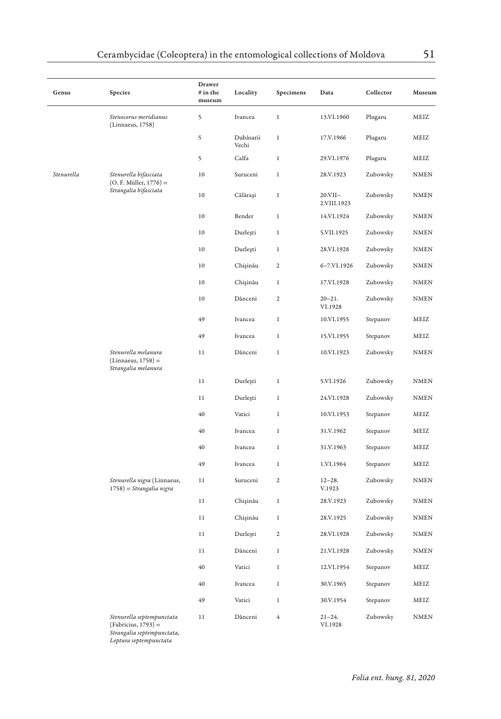| Genus      | Species                                                                  | Drawer<br># in the<br>museum | Locality           | Specimens        | Data                     | Collector | Museum                 |
|------------|--------------------------------------------------------------------------|------------------------------|--------------------|------------------|--------------------------|-----------|------------------------|
|            | Stenocorus meridianus<br>(Linnaeus, 1758)                                | 5                            | Ivancea            | $\,1$            | 13.VI.1960               | Plugaru   | MEIZ                   |
|            |                                                                          | 5                            | Dubăsarii<br>Vechi | $\,1$            | 17.V.1966                | Plugaru   | MEIZ                   |
|            |                                                                          | 5                            | Calfa              | $\,1$            | 29.VI.1976               | Plugaru   | MEIZ                   |
| Stenurella | Stenurella bifasciata<br>$(O. F. Müller, 1776) =$                        | 10                           | Suruceni           | $\,1$            | 28.V.1923                | Zubowsky  | <b>NMEN</b>            |
|            | Strangalia bifasciata                                                    | 10                           | Călărași           | $\,1$            | $20.VII-$<br>2.VIII.1923 | Zubowsky  | <b>NMEN</b>            |
|            |                                                                          | 10                           | Bender             | $\,1$            | 14.VI.1924               | Zubowsky  | <b>NMEN</b>            |
|            |                                                                          | 10                           | Durleşti           | $\,1$            | 5.VII.1925               | Zubowsky  | <b>NMEN</b>            |
|            |                                                                          | 10                           | Durlești           | $\,1$            | 28.VI.1928               | Zubowsky  | <b>NMEN</b>            |
|            |                                                                          | 10                           | Chișinău           | $\mathbf 2$      | 6-7.VI.1926              | Zubowsky  | <b>NMEN</b>            |
|            |                                                                          | 10                           | Chișinău           | $\,1$            | 17.VI.1928               | Zubowsky  | <b>NMEN</b>            |
|            |                                                                          | 10                           | Dănceni            | $\mathbf 2$      | $20 - 21.$<br>VI.1928    | Zubowsky  | <b>NMEN</b>            |
|            |                                                                          | 49                           | Ivancea            | $\,1$            | 10.VI.1955               | Stepanov  | MEIZ                   |
|            |                                                                          | 49                           | Ivancea            | $\,1$            | 15.VI.1955               | Stepanov  | MEIZ                   |
|            | Stenurella melanura<br>$(Linnacus, 1758) =$<br>Strangalia melanura       | 11                           | Dănceni            | $\,1$            | 10.VI.1923               | Zubowsky  | <b>NMEN</b>            |
|            |                                                                          | 11                           | Durleşti           | $\,1$            | 5.VI.1926                | Zubowsky  | <b>NMEN</b>            |
|            |                                                                          | 11                           | Durleşti           | $\,1$            | 24.VI.1928               | Zubowsky  | $\textsc{NMEN}\xspace$ |
|            |                                                                          | 40                           | Vatici             | $\,1$            | 10.VI.1953               | Stepanov  | MEIZ                   |
|            |                                                                          | 40                           | Ivancea            | $\,1$            | 31.V.1962                | Stepanov  | MEIZ                   |
|            |                                                                          | 40                           | Ivancea            | $\,1$            | 31.V.1963                | Stepanov  | MEIZ                   |
|            |                                                                          | 49                           | Ivancea            | $\,1$            | 1.VI.1964                | Stepanov  | MEIZ                   |
|            | Stenurella nigra (Linnaeus,<br>1758) = Strangalia nigra                  | 11                           | Suruceni           | $\mathbf{2}$     | $12 - 28.$<br>V.1923     | Zubowsky  | NMEN                   |
|            |                                                                          | 11                           | Chișinău           | $\,1$            | 28.V.1923                | Zubowsky  | <b>NMEN</b>            |
|            |                                                                          | 11                           | Chișinău           | $\,1$            | 28.V.1925                | Zubowsky  | NMEN                   |
|            |                                                                          | 11                           | Durlești           | $\boldsymbol{2}$ | 28.VI.1928               | Zubowsky  | <b>NMEN</b>            |
|            |                                                                          | 11                           | Dănceni            | $\,1$            | 21.VI.1928               | Zubowsky  | <b>NMEN</b>            |
|            |                                                                          | 40                           | Vatici             | $\,1$            | 12.VI.1954               | Stepanov  | MEIZ                   |
|            |                                                                          | 40                           | Ivancea            | $\mathbf{1}$     | 30.V.1965                | Stepanov  | MEIZ                   |
|            |                                                                          | 49                           | Vatici             | $\,1$            | 30.V.1954                | Stepanov  | MEIZ                   |
|            | Stenurella septempunctata<br>(Fabricius, 1793) =<br>Strangalia contomnum | 11                           | Dănceni            | $\overline{4}$   | $21 - 24.$<br>VI.1928    | Zubowsky  | <b>NMEN</b>            |

*Strangalia septempunctata*, *Leptura septempunctata*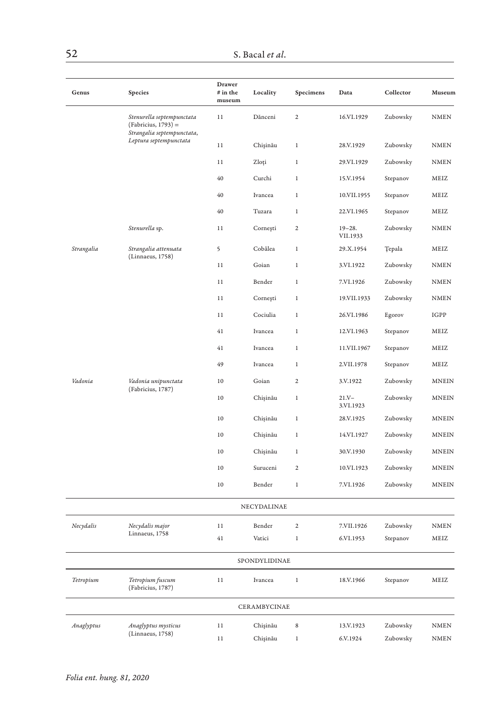| Genus      | Species                                                                        | Drawer<br># in the<br>museum | Locality      | Specimens      | Data                   | Collector     | Museum                 |
|------------|--------------------------------------------------------------------------------|------------------------------|---------------|----------------|------------------------|---------------|------------------------|
|            | Stenurella septempunctata<br>(Fabricius, 1793) =<br>Strangalia septempunctata, | 11                           | Dănceni       | $\mathbf 2$    | 16.VI.1929             | Zubowsky      | <b>NMEN</b>            |
|            | Leptura septempunctata                                                         | 11                           | Chișinău      | $\,1$          | 28.V.1929              | Zubowsky      | <b>NMEN</b>            |
|            |                                                                                | 11                           | Zloți         | $\,1$          | 29.VI.1929             | Zubowsky      | <b>NMEN</b>            |
|            |                                                                                | 40                           | Curchi        | $\,1\,$        | 15.V.1954              | Stepanov      | MEIZ                   |
|            |                                                                                | 40                           | Ivancea       | $\,1$          | 10.VII.1955            | Stepanov      | MEIZ                   |
|            |                                                                                | 40                           | Tuzara        | 1              | 22.VI.1965             | Stepanov      | MEIZ                   |
|            | Stenurella sp.                                                                 | 11                           | Cornești      | $\mathbf 2$    | $19 - 28.$<br>VII.1933 | Zubowsky      | <b>NMEN</b>            |
| Strangalia | Strangalia attenuata<br>(Linnaeus, 1758)                                       | 5                            | Cobâlea       | $1\,$          | 29.X.1954              | <b>Tepala</b> | MEIZ                   |
|            |                                                                                | 11                           | Goian         | $\,1$          | 3.VI.1922              | Zubowsky      | <b>NMEN</b>            |
|            |                                                                                | 11                           | Bender        | 1              | 7.VI.1926              | Zubowsky      | <b>NMEN</b>            |
|            |                                                                                | 11                           | Cornești      | $1\,$          | 19.VII.1933            | Zubowsky      | <b>NMEN</b>            |
|            |                                                                                | 11                           | Cociulia      | $\,1$          | 26.VI.1986             | Egorov        | IGPP                   |
|            |                                                                                | 41                           | Ivancea       | $\,1$          | 12.VI.1963             | Stepanov      | MEIZ                   |
|            |                                                                                | 41                           | Ivancea       | $\,1$          | 11.VII.1967            | Stepanov      | MEIZ                   |
|            |                                                                                | 49                           | Ivancea       | $\,1$          | 2.VII.1978             | Stepanov      | MEIZ                   |
| Vadonia    | Vadonia unipunctata                                                            | 10                           | Goian         | $\mathfrak 2$  | 3.V.1922               | Zubowsky      | <b>MNEIN</b>           |
|            | (Fabricius, 1787)                                                              | 10                           | Chișinău      | $1\,$          | $21.Y -$<br>3.VI.1923  | Zubowsky      | <b>MNEIN</b>           |
|            |                                                                                | 10                           | Chișinău      | $\,1$          | 28.V.1925              | Zubowsky      | <b>MNEIN</b>           |
|            |                                                                                | 10                           | Chișinău      | 1              | 14.VI.1927             | Zubowsky      | <b>MNEIN</b>           |
|            |                                                                                | 10                           | Chișinău      | $\mathbf{1}$   | 30.V.1930              | Zubowsky      | <b>MNEIN</b>           |
|            |                                                                                | 10                           | Suruceni      | $\mathfrak 2$  | 10.VI.1923             | Zubowsky      | <b>MNEIN</b>           |
|            |                                                                                | 10                           | Bender        | $\,1$          | 7.VI.1926              | Zubowsky      | <b>MNEIN</b>           |
|            |                                                                                |                              | NECYDALINAE   |                |                        |               |                        |
| Necydalis  | Necydalis major                                                                | $1\,1$                       | Bender        | $\overline{2}$ | 7.VII.1926             | Zubowsky      | <b>NMEN</b>            |
|            | Linnaeus, 1758                                                                 | 41                           | Vatici        | $\,1$          | 6.VI.1953              | Stepanov      | MEIZ                   |
|            |                                                                                |                              | SPONDYLIDINAE |                |                        |               |                        |
| Tetropium  | Tetropium fuscum<br>(Fabricius, 1787)                                          | 11                           | Ivancea       | $\,1$          | 18.V.1966              | Stepanov      | MEIZ                   |
|            |                                                                                |                              | CERAMBYCINAE  |                |                        |               |                        |
| Anaglyptus | Anaglyptus mysticus                                                            | 11                           | Chișinău      | $\,$ 8 $\,$    | 13.V.1923              | Zubowsky      | $\textsc{NMEN}\xspace$ |
|            | (Linnaeus, 1758)                                                               | 11                           | Chișinău      | $\mathbf{1}$   | 6.V.1924               | Zubowsky      | <b>NMEN</b>            |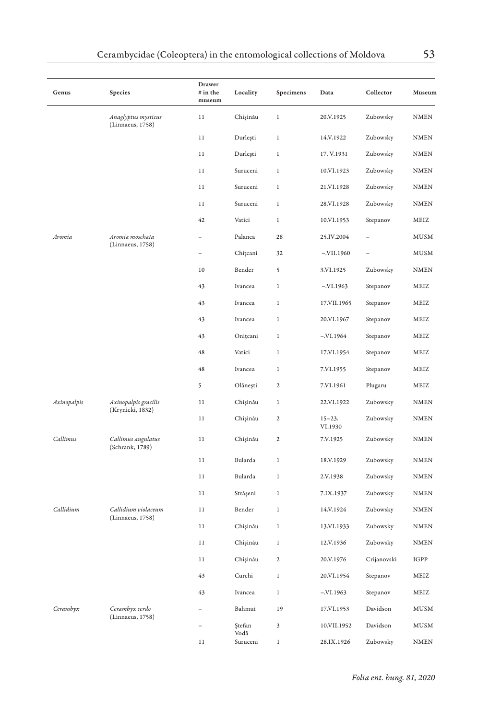| Genus       | Species                                 | Drawer<br># in the<br>museum | Locality         | Specimens               | Data                  | Collector   | Museum      |
|-------------|-----------------------------------------|------------------------------|------------------|-------------------------|-----------------------|-------------|-------------|
|             | Anaglyptus mysticus<br>(Linnaeus, 1758) | 11                           | Chișinău         | $\,1$                   | 20.V.1925             | Zubowsky    | <b>NMEN</b> |
|             |                                         | 11                           | Durleşti         | $\mathbf{1}$            | 14.V.1922             | Zubowsky    | <b>NMEN</b> |
|             |                                         | $1\,1$                       | Durleşti         | $\mathbf{1}$            | 17. V.1931            | Zubowsky    | <b>NMEN</b> |
|             |                                         | 11                           | Suruceni         | 1                       | 10.VI.1923            | Zubowsky    | NMEN        |
|             |                                         | 11                           | Suruceni         | 1                       | 21.VI.1928            | Zubowsky    | <b>NMEN</b> |
|             |                                         | $1\,1$                       | Suruceni         | $\,1$                   | 28.VI.1928            | Zubowsky    | <b>NMEN</b> |
|             |                                         | 42                           | Vatici           | $\,1$                   | 10.VI.1953            | Stepanov    | MEIZ        |
| Aromia      | Aromia moschata                         |                              | Palanca          | 28                      | 25.IV.2004            |             | <b>MUSM</b> |
|             | (Linnaeus, 1758)                        |                              | Chițcani         | 32                      | $-.VII.1960$          |             | <b>MUSM</b> |
|             |                                         | 10                           | Bender           | 5                       | 3.VI.1925             | Zubowsky    | NMEN        |
|             |                                         | 43                           | Ivancea          | $\,1$                   | $-.VI.1963$           | Stepanov    | MEIZ        |
|             |                                         | 43                           | Ivancea          | $\,1$                   | 17.VII.1965           | Stepanov    | MEIZ        |
|             |                                         | 43                           | Ivancea          | $\,1$                   | 20.VI.1967            | Stepanov    | MEIZ        |
|             |                                         | 43                           | Onițcani         | $\,1$                   | $-.VI.1964$           | Stepanov    | MEIZ        |
|             |                                         | 48                           | Vatici           | $\mathbf{1}$            | 17.VI.1954            | Stepanov    | MEIZ        |
|             |                                         | 48                           | Ivancea          | $\,1$                   | 7.VI.1955             | Stepanov    | MEIZ        |
|             |                                         | 5                            | Olănești         | $\boldsymbol{2}$        | 7.VI.1961             | Plugaru     | MEIZ        |
| Axinopalpis | Axinopalpis gracilis                    | 11                           | Chișinău         | $\mathbf{1}$            | 22.VI.1922            | Zubowsky    | <b>NMEN</b> |
|             | (Krynicki, 1832)                        | 11                           | Chișinău         | $\overline{\mathbf{c}}$ | $15 - 23.$<br>VI.1930 | Zubowsky    | <b>NMEN</b> |
| Callimus    | Callimus angulatus<br>(Schrank, 1789)   | 11                           | Chișinău         | 2                       | 7.V.1925              | Zubowsky    | <b>NMEN</b> |
|             |                                         | 11                           | Bularda          | $\mathbf{1}$            | 18.V.1929             | Zubowsky    | <b>NMEN</b> |
|             |                                         | 11                           | Bularda          | $\mathbf{1}$            | 2.V.1938              | Zubowsky    | <b>NMEN</b> |
|             |                                         | 11                           | Strășeni         | $\,1$                   | 7.IX.1937             | Zubowsky    | <b>NMEN</b> |
| Callidium   | Callidium violaceum                     | 11                           | Bender           | 1                       | 14.V.1924             | Zubowsky    | NMEN        |
|             | (Linnaeus, 1758)                        | 11                           | Chișinău         | $\,1$                   | 13.VI.1933            | Zubowsky    | <b>NMEN</b> |
|             |                                         | 11                           | Chișinău         | $\,1$                   | 12.V.1936             | Zubowsky    | <b>NMEN</b> |
|             |                                         | 11                           | Chişinău         | 2                       | 20.V.1976             | Crijanovski | IGPP        |
|             |                                         | 43                           | Curchi           | $\,1$                   | 20.VI.1954            | Stepanov    | MEIZ        |
|             |                                         | 43                           | Ivancea          | $\mathbf{1}$            | $-.VI.1963$           | Stepanov    | MEIZ        |
| Cerambyx    | Cerambyx cerdo                          |                              | Bahmut           | 19                      | 17.VI.1953            | Davidson    | MUSM        |
|             | (Linnaeus, 1758)                        |                              | Ştefan           | 3                       | 10.VII.1952           | Davidson    | <b>MUSM</b> |
|             |                                         | 11                           | Vodă<br>Suruceni | 1                       | 28.IX.1926            | Zubowsky    | <b>NMEN</b> |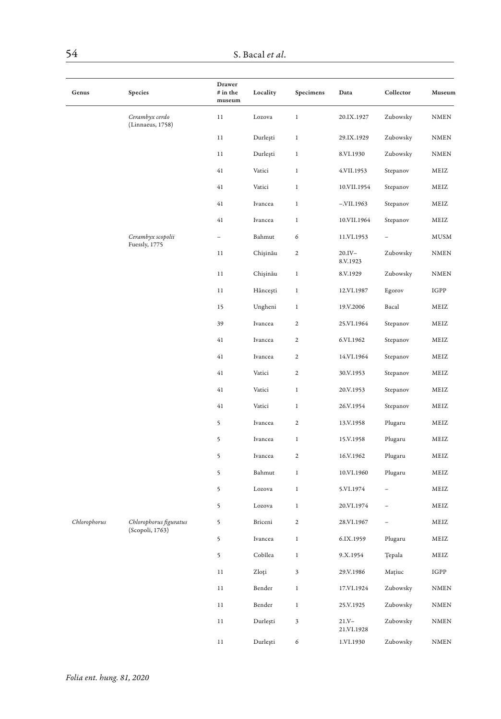| Genus        | Species                            | Drawer<br>$#$ in the<br>museum | Locality | Specimens     | Data                   | Collector | Museum                 |
|--------------|------------------------------------|--------------------------------|----------|---------------|------------------------|-----------|------------------------|
|              | Cerambyx cerdo<br>(Linnaeus, 1758) | $11\,$                         | Lozova   | $\,1$         | 20.IX.1927             | Zubowsky  | $\textsc{NMEN}\xspace$ |
|              |                                    | 11                             | Durleşti | $\,1$         | 29.IX.1929             | Zubowsky  | <b>NMEN</b>            |
|              |                                    | 11                             | Durleşti | $\,1$         | 8.VI.1930              | Zubowsky  | $\textsc{NMEN}\xspace$ |
|              |                                    | 41                             | Vatici   | $1\,$         | 4.VII.1953             | Stepanov  | MEIZ                   |
|              |                                    | 41                             | Vatici   | $\mathbf{1}$  | 10.VII.1954            | Stepanov  | MEIZ                   |
|              |                                    | 41                             | Ivancea  | $1\,$         | $-.VII.1963$           | Stepanov  | MEIZ                   |
|              |                                    | 41                             | Ivancea  | $\,1$         | 10.VII.1964            | Stepanov  | MEIZ                   |
|              | Cerambyx scopolii                  |                                | Bahmut   | 6             | 11.VI.1953             |           | ${\tt MUSM}$           |
|              | Fuessly, 1775                      | $1\,1$                         | Chișinău | $\mathbf 2$   | $20.IV -$<br>8.V.1923  | Zubowsky  | <b>NMEN</b>            |
|              |                                    | 11                             | Chişinău | $\,1$         | 8.V.1929               | Zubowsky  | <b>NMEN</b>            |
|              |                                    | 11                             | Hâncești | 1             | 12.VI.1987             | Egorov    | $_{\rm IGPP}$          |
|              |                                    | 15                             | Ungheni  | $\,1\,$       | 19.V.2006              | Bacal     | MEIZ                   |
|              |                                    | 39                             | Ivancea  | $\mathbf 2$   | 25.VI.1964             | Stepanov  | MEIZ                   |
|              |                                    | 41                             | Ivancea  | $\mathfrak 2$ | 6.VI.1962              | Stepanov  | MEIZ                   |
|              |                                    | 41                             | Ivancea  | $\mathfrak 2$ | 14.VI.1964             | Stepanov  | MEIZ                   |
|              |                                    | 41                             | Vatici   | $\mathbf 2$   | 30.V.1953              | Stepanov  | $\operatorname{MEIZ}$  |
|              |                                    | 41                             | Vatici   | $\,1$         | 20.V.1953              | Stepanov  | MEIZ                   |
|              |                                    | 41                             | Vatici   | $\,1\,$       | 26.V.1954              | Stepanov  | MEIZ                   |
|              |                                    | 5                              | Ivancea  | $\mathfrak 2$ | 13.V.1958              | Plugaru   | MEIZ                   |
|              |                                    | 5                              | Ivancea  | $\,1$         | 15.V.1958              | Plugaru   | MEIZ                   |
|              |                                    | 5                              | Ivancea  | $\mathbf 2$   | 16.V.1962              | Plugaru   | MEIZ                   |
|              |                                    | 5                              | Bahmut   | $\mathbf{1}$  | 10.VI.1960             | Plugaru   | MEIZ                   |
|              |                                    | 5                              | Lozova   | $\mathbf{1}$  | 5.VI.1974              |           | MEIZ                   |
|              |                                    | 5                              | Lozova   | $\,1\,$       | 20.VI.1974             |           | MEIZ                   |
| Chlorophorus | Chlorophorus figuratus             | 5                              | Briceni  | $\mathfrak 2$ | 28.VI.1967             |           | MEIZ                   |
|              | (Scopoli, 1763)                    | 5                              | Ivancea  | $\,1\,$       | 6.IX.1959              | Plugaru   | MEIZ                   |
|              |                                    | 5                              | Cobîlea  | $\,1\,$       | 9.X.1954               | Ţepala    | MEIZ                   |
|              |                                    | $1\,1$                         | Zloți    | 3             | 29.V.1986              | Mațiuc    | IGPP                   |
|              |                                    | 11                             | Bender   | $\,1$         | 17.VI.1924             | Zubowsky  | <b>NMEN</b>            |
|              |                                    | 11                             | Bender   | $\mathbf{1}$  | 25.V.1925              | Zubowsky  | $\textsc{NMEN}\xspace$ |
|              |                                    | $1\,1$                         | Durleşti | 3             | $21.Y -$<br>21.VI.1928 | Zubowsky  | <b>NMEN</b>            |
|              |                                    | $1\,1$                         | Durleşti | 6             | 1.VI.1930              | Zubowsky  | <b>NMEN</b>            |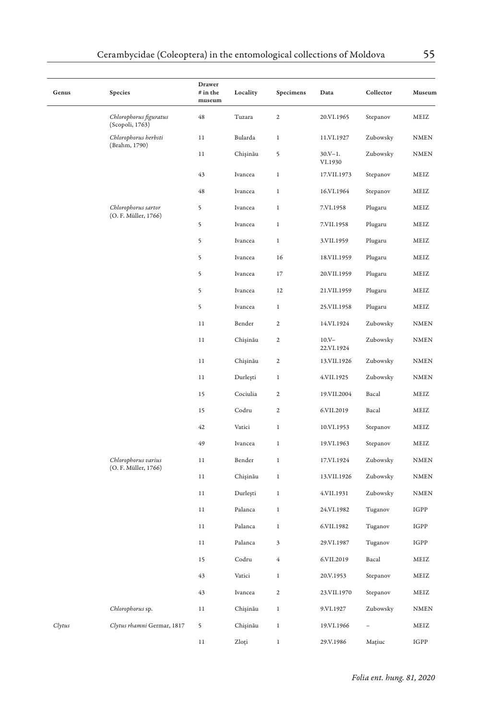| Genus  | Species                                     | Drawer<br>$#$ in the<br>museum | Locality | Specimens               | Data                   | Collector | Museum                       |
|--------|---------------------------------------------|--------------------------------|----------|-------------------------|------------------------|-----------|------------------------------|
|        | Chlorophorus figuratus<br>(Scopoli, 1763)   | 48                             | Tuzara   | $\,2$                   | 20.VI.1965             | Stepanov  | MEIZ                         |
|        | Chlorophorus herbsti                        | 11                             | Bularda  | $\mathbf{1}$            | 11.VI.1927             | Zubowsky  | $\textsc{NMEN}\xspace$       |
|        | (Brahm, 1790)                               | $1\,1$                         | Chișinău | 5                       | $30.V-1.$<br>VI.1930   | Zubowsky  | $\textsc{NMEN}\xspace$       |
|        |                                             | 43                             | Ivancea  | $\,1$                   | 17.VII.1973            | Stepanov  | MEIZ                         |
|        |                                             | 48                             | Ivancea  | $\,1$                   | 16.VI.1964             | Stepanov  | MEIZ                         |
|        | Chlorophorus sartor                         | 5                              | Ivancea  | $\,1$                   | 7.VI.1958              | Plugaru   | MEIZ                         |
|        | (O. F. Müller, 1766)                        | 5                              | Ivancea  | $\,1$                   | 7.VII.1958             | Plugaru   | MEIZ                         |
|        |                                             | 5                              | Ivancea  | $\mathbf{1}$            | 3.VII.1959             | Plugaru   | MEIZ                         |
|        |                                             | 5                              | Ivancea  | 16                      | 18.VII.1959            | Plugaru   | MEIZ                         |
|        |                                             | 5                              | Ivancea  | 17                      | 20.VII.1959            | Plugaru   | MEIZ                         |
|        |                                             | 5                              | Ivancea  | 12                      | 21.VII.1959            | Plugaru   | MEIZ                         |
|        |                                             | 5                              | Ivancea  | $\,1$                   | 25.VII.1958            | Plugaru   | MEIZ                         |
|        |                                             | $1\,1$                         | Bender   | $\mathbf 2$             | 14.VI.1924             | Zubowsky  | $\textsc{NMEN}\xspace$       |
|        |                                             | 11                             | Chişinău | $\,2$                   | $10.V -$<br>22.VI.1924 | Zubowsky  | $\textsc{NMEN}\xspace$       |
|        |                                             | 11                             | Chișinău | $\,2$                   | 13.VII.1926            | Zubowsky  | $\ensuremath{\mathsf{NMEN}}$ |
|        |                                             | 11                             | Durleşti | $\,1$                   | 4.VII.1925             | Zubowsky  | $\texttt{NMEN}$              |
|        |                                             | 15                             | Cociulia | 2                       | 19.VII.2004            | Bacal     | MEIZ                         |
|        |                                             | 15                             | Codru    | $\overline{\mathbf{c}}$ | 6.VII.2019             | Bacal     | MEIZ                         |
|        |                                             | 42                             | Vatici   | $\,1$                   | 10.VI.1953             | Stepanov  | MEIZ                         |
|        |                                             | 49                             | Ivancea  | $\,1$                   | 19.VI.1963             | Stepanov  | MEIZ                         |
|        | Chlorophorus varius<br>(O. F. Müller, 1766) | 11                             | Bender   | 1                       | 17.VI.1924             | Zubowsky  | NMEN                         |
|        |                                             | 11                             | Chișinău | $\,1$                   | 13.VII.1926            | Zubowsky  | $\texttt{NMEN}$              |
|        |                                             | 11                             | Durleşti | $\,1$                   | 4.VII.1931             | Zubowsky  | $\texttt{NMEN}$              |
|        |                                             | 11                             | Palanca  | 1                       | 24.VI.1982             | Tuganov   | IGPP                         |
|        |                                             | 11                             | Palanca  | $\,1$                   | 6.VII.1982             | Tuganov   | IGPP                         |
|        |                                             | $1\,1$                         | Palanca  | 3                       | 29.VI.1987             | Tuganov   | IGPP                         |
|        |                                             | 15                             | Codru    | 4                       | 6.VII.2019             | Bacal     | MEIZ                         |
|        |                                             | 43                             | Vatici   | $\,1$                   | 20.V.1953              | Stepanov  | MEIZ                         |
|        |                                             | 43                             | Ivancea  | $\overline{\mathbf{c}}$ | 23.VII.1970            | Stepanov  | MEIZ                         |
|        | Chlorophorus sp.                            | 11                             | Chişinău | $\,1$                   | 9.VI.1927              | Zubowsky  | <b>NMEN</b>                  |
| Clytus | Clytus rhamni Germar, 1817                  | 5                              | Chişinău | $\,1$                   | 19.VI.1966             |           | MEIZ                         |
|        |                                             | 11                             | Zloți    | 1                       | 29.V.1986              | Matiuc    | IGPP                         |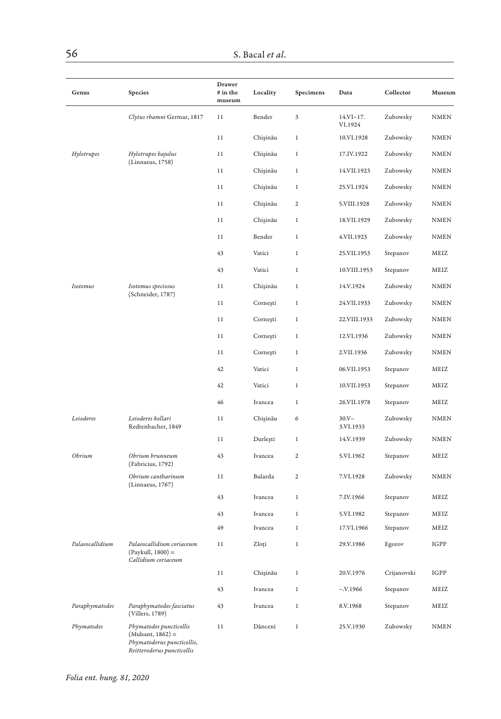| Genus           | Species                                                                                                    | Drawer<br>$#$ in the<br>museum | Locality | Specimens      | Data                   | Collector   | Museum      |
|-----------------|------------------------------------------------------------------------------------------------------------|--------------------------------|----------|----------------|------------------------|-------------|-------------|
|                 | Clytus rhamni Germar, 1817                                                                                 | 11                             | Bender   | 3              | $14.VI-17.$<br>VI.1924 | Zubowsky    | <b>NMEN</b> |
|                 |                                                                                                            | 11                             | Chişinău | 1              | 10.VI.1928             | Zubowsky    | NMEN        |
| Hylotrupes      | Hylotrupes bajulus                                                                                         | 11                             | Chişinău | 1              | 17.IV.1922             | Zubowsky    | NMEN        |
|                 | (Linnaeus, 1758)                                                                                           | 11                             | Chişinău | 1              | 14.VII.1923            | Zubowsky    | NMEN        |
|                 |                                                                                                            | 11                             | Chişinău | 1              | 25.VI.1924             | Zubowsky    | NMEN        |
|                 |                                                                                                            | 11                             | Chişinău | $\mathfrak{2}$ | 5.VIII.1928            | Zubowsky    | NMEN        |
|                 |                                                                                                            | 11                             | Chişinău | 1              | 18.VII.1929            | Zubowsky    | NMEN        |
|                 |                                                                                                            | 11                             | Bender   | 1              | 4.VII.1923             | Zubowsky    | NMEN        |
|                 |                                                                                                            | 43                             | Vatici   | 1              | 25.VII.1953            | Stepanov    | MEIZ        |
|                 |                                                                                                            | 43                             | Vatici   | $\,1$          | 10.VIII.1953           | Stepanov    | MEIZ        |
| Isotomus        | Isotomus speciosus                                                                                         | 11                             | Chişinău | 1              | 14.V.1924              | Zubowsky    | NMEN        |
|                 | (Schneider, 1787)                                                                                          | 11                             | Cornești | 1              | 24.VII.1933            | Zubowsky    | NMEN        |
|                 |                                                                                                            | 11                             | Cornești | 1              | 22.VIII.1933           | Zubowsky    | NMEN        |
|                 |                                                                                                            | 11                             | Cornești | 1              | 12.VI.1936             | Zubowsky    | NMEN        |
|                 |                                                                                                            | 11                             | Cornești | 1              | 2.VII.1936             | Zubowsky    | NMEN        |
|                 |                                                                                                            | 42                             | Vatici   | 1              | 06.VII.1953            | Stepanov    | MEIZ        |
|                 |                                                                                                            | 42                             | Vatici   | 1              | 10.VII.1953            | Stepanov    | MEIZ        |
|                 |                                                                                                            | 46                             | Ivancea  | 1              | 26.VII.1978            | Stepanov    | MEIZ        |
| Leioderes       | Leioderes kollari<br>Redtenbacher, 1849                                                                    | 11                             | Chişinău | 6              | $30.V -$<br>3.VI.1933  | Zubowsky    | NMEN        |
|                 |                                                                                                            | 11                             | Durleşti | $\,1$          | 14.V.1939              | Zubowsky    | <b>NMEN</b> |
| Obrium          | Obrium brunneum<br>(Fabricius, 1792)                                                                       | 43                             | Ivancea  | $\mathbf{2}$   | 5.VI.1962              | Stepanov    | MEIZ        |
|                 | Obrium cantharinum<br>(Linnaeus, 1767)                                                                     | 11                             | Bularda  | 2              | 7.VI.1928              | Zubowsky    | NMEN        |
|                 |                                                                                                            | 43                             | Ivancea  | $\,1$          | 7.IV.1966              | Stepanov    | MEIZ        |
|                 |                                                                                                            | 43                             | Ivancea  | $\mathbf{1}$   | 5.VI.1982              | Stepanov    | MEIZ        |
|                 |                                                                                                            | 49                             | Ivancea  | $\,1$          | 17.VI.1966             | Stepanov    | MEIZ        |
| Palaeocallidium | Palaeocallidium coriaceum<br>$(Paykull, 1800) =$<br>Callidium coriaceum                                    | 11                             | Zloți    | $\,1$          | 29.V.1986              | Egorov      | IGPP        |
|                 |                                                                                                            | 11                             | Chişinău | $\,1$          | 20.V.1976              | Crijanovski | IGPP        |
|                 |                                                                                                            | 43                             | Ivancea  | $\,1$          | $-.V.1966$             | Stepanov    | MEIZ        |
| Paraphymatodes  | Paraphymatodes fasciatus<br>(Villers, 1789)                                                                | 43                             | Ivancea  | $\,1$          | 8.V.1968               | Stepanov    | MEIZ        |
| Phymatodes      | Phymatodes puncticollis<br>$(Mulsant, 1862) =$<br>Phymatoderus puncticollis,<br>Reitteroderus puncticollis | 11                             | Dănceni  | $\,1$          | 25.V.1930              | Zubowsky    | <b>NMEN</b> |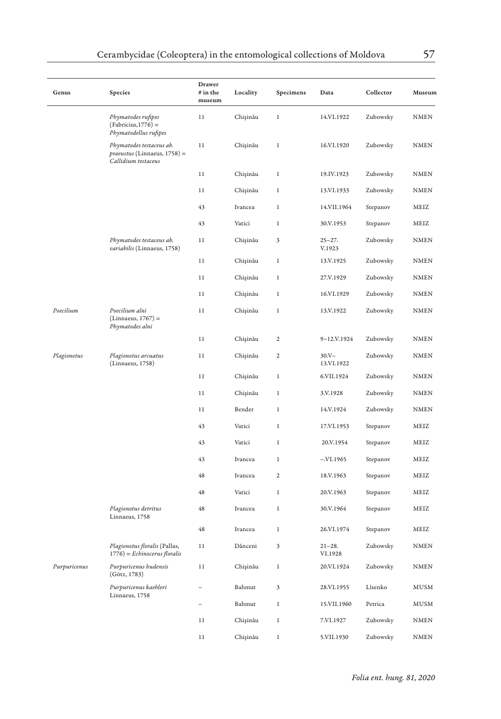| Genus        | Species                                                                         | Drawer<br>$#$ in the<br>museum | Locality       | Specimens      | Data                   | Collector | Museum      |
|--------------|---------------------------------------------------------------------------------|--------------------------------|----------------|----------------|------------------------|-----------|-------------|
|              | Phymatodes rufipes<br>$(Fabricius, 1776) =$<br>Phymatodellus rufipes            | 11                             | Chișinău       | $\,1$          | 14.VI.1922             | Zubowsky  | <b>NMEN</b> |
|              | Phymatodes testaceus ab.<br>praeustus (Linnaeus, 1758) =<br>Callidium testaceus | 11                             | Chișinău       | $\,1$          | 16.VI.1920             | Zubowsky  | <b>NMEN</b> |
|              |                                                                                 | 11                             | Chișinău       | $\,1$          | 19.IV.1923             | Zubowsky  | <b>NMEN</b> |
|              |                                                                                 | 11                             | Chișinău       | $\,1$          | 13.VI.1933             | Zubowsky  | <b>NMEN</b> |
|              |                                                                                 | 43                             | Ivancea        | $\,1$          | 14.VII.1964            | Stepanov  | MEIZ        |
|              |                                                                                 | 43                             | Vatici         | $\mathbf{1}$   | 30.V.1953              | Stepanov  | MEIZ        |
|              | Phymatodes testaceus ab.<br>variabilis (Linnaeus, 1758)                         | 11                             | Chişinău       | 3              | $25 - 27.$<br>V.1923   | Zubowsky  | <b>NMEN</b> |
|              |                                                                                 | 11                             | Chişinău       | $\mathbf{1}$   | 13.V.1925              | Zubowsky  | <b>NMEN</b> |
|              |                                                                                 | 11                             | Chișinău       | $\,1$          | 27.V.1929              | Zubowsky  | <b>NMEN</b> |
|              |                                                                                 | 11                             | Chișinău       | $\,1$          | 16.VI.1929             | Zubowsky  | <b>NMEN</b> |
| Poecilium    | Poecilium alni<br>$(Linnacus, 1767) =$<br>Phymatodes alni                       | 11                             | Chișinău       | $\,1$          | 13.V.1922              | Zubowsky  | <b>NMEN</b> |
|              |                                                                                 | 11                             | Chișinău       | 2              | 9-12.V.1924            | Zubowsky  | <b>NMEN</b> |
| Plagionotus  | Plagionotus arcuatus<br>(Linnaeus, 1758)                                        | 11                             | Chișinău       | $\mathbf{2}$   | $30.V -$<br>13.VI.1922 | Zubowsky  | NMEN        |
|              |                                                                                 | 11                             | Chişinău       | $\mathbf{1}$   | 6.VII.1924             | Zubowsky  | <b>NMEN</b> |
|              |                                                                                 | 11                             | Chișinău       | 1              | 3.V.1928               | Zubowsky  | <b>NMEN</b> |
|              |                                                                                 | 11                             | Bender         | $\,1$          | 14.V.1924              | Zubowsky  | <b>NMEN</b> |
|              |                                                                                 | 43                             | Vatici         | $\,1$          | 17.VI.1953             | Stepanov  | MEIZ        |
|              |                                                                                 | 43                             | Vatici         | $\,1$          | 20.V.1954              | Stepanov  | MEIZ        |
|              |                                                                                 | 43                             | Ivancea        | $\,1$          | $-.VI.1965$            | Stepanov  | MEIZ        |
|              |                                                                                 | 48                             | <b>Ivancea</b> | $\overline{c}$ | 18.V.1963              | Stepanov  | MEIZ        |
|              |                                                                                 | 48                             | Vatici         | $1\,$          | 20.V.1963              | Stepanov  | MEIZ        |
|              | Plagionotus detritus<br>Linnaeus, 1758                                          | 48                             | Ivancea        | $\,1$          | 30.V.1964              | Stepanov  | MEIZ        |
|              |                                                                                 | 48                             | Ivancea        | $1\,$          | 26.VI.1974             | Stepanov  | MEIZ        |
|              | Plagionotus floralis (Pallas,<br>$1776$ ) = Echinocerus floralis                | 11                             | Dănceni        | 3              | $21 - 28.$<br>VI.1928  | Zubowsky  | <b>NMEN</b> |
| Purpuricenus | Purpuricenus budensis<br>(Götz, 1783)                                           | 11                             | Chișinău       | 1              | 20.VI.1924             | Zubowsky  | <b>NMEN</b> |
|              | Purpuricenus kaehleri<br>Linnaeus, 1758                                         |                                | Bahmut         | 3              | 28.VI.1955             | Lîsenko   | MUSM        |
|              |                                                                                 |                                | Bahmut         | $\mathbf{1}$   | 15.VII.1960            | Petrica   | <b>MUSM</b> |
|              |                                                                                 | 11                             | Chișinău       | $1\,$          | 7.VI.1927              | Zubowsky  | <b>NMEN</b> |
|              |                                                                                 | 11                             | Chișinău       | $\mathbf{1}$   | 5.VII.1930             | Zubowsky  | <b>NMEN</b> |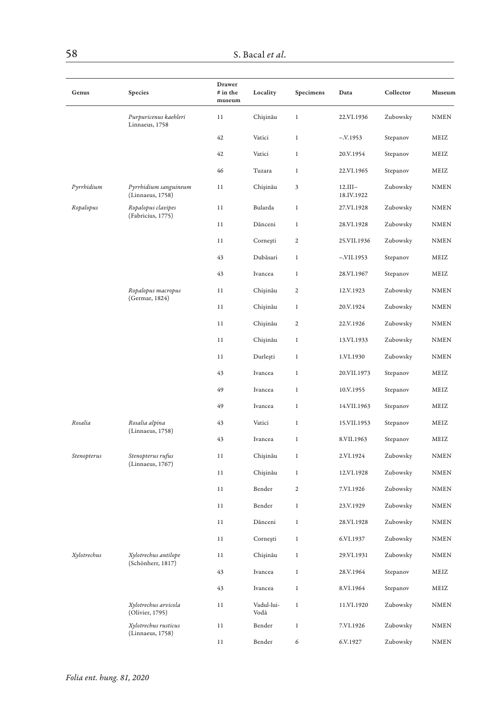| Genus            | Species                                   | Drawer<br># in the<br>museum | Locality           | Specimens      | Data                    | Collector   | Museum      |
|------------------|-------------------------------------------|------------------------------|--------------------|----------------|-------------------------|-------------|-------------|
|                  | Purpuricenus kaehleri<br>Linnaeus, 1758   | 11                           | Chișinău           | $\,1$          | 22.VI.1936              | Zubowsky    | <b>NMEN</b> |
|                  |                                           | 42                           | Vatici             | $\,1$          | $-.V.1953$              | Stepanov    | MEIZ        |
|                  |                                           | 42                           | Vatici             | $\,1$          | 20.V.1954               | Stepanov    | MEIZ        |
|                  |                                           | 46                           | Tuzara             | $\,1$          | 22.VI.1965              | Stepanov    | MEIZ        |
| Pyrrhidium       | Pyrrhidium sanguineum<br>(Linnaeus, 1758) | 11                           | Chișinău           | 3              | $12.III-$<br>18.IV.1922 | Zubowsky    | <b>NMEN</b> |
| Ropalopus        | Ropalopus clavipes<br>(Fabricius, 1775)   | 11                           | Bularda            | $\,1$          | 27.VI.1928              | Zubowsky    | <b>NMEN</b> |
|                  |                                           | 11                           | Dănceni            | $\,1$          | 28.VI.1928              | Zubowsky    | <b>NMEN</b> |
|                  |                                           | 11                           | Cornești           | $\overline{c}$ | 25.VII.1936             | Zubowsky    | <b>NMEN</b> |
|                  | 43                                        | Dubăsari                     | $\,1\,$            | $-XII.1953$    | Stepanov                | MEIZ        |             |
|                  |                                           | 43                           | Ivancea            | 1              | 28.VI.1967              | Stepanov    | MEIZ        |
|                  | Ropalopus macropus<br>(Germar, 1824)      | 11                           | Chișinău           | $\overline{c}$ | 12.V.1923               | Zubowsky    | <b>NMEN</b> |
|                  |                                           | 11                           | Chișinău           | $\,1\,$        | 20.V.1924               | Zubowsky    | <b>NMEN</b> |
|                  |                                           | 11                           | Chișinău           | $\overline{c}$ | 22.V.1926               | Zubowsky    | <b>NMEN</b> |
|                  |                                           | 11                           | Chişinău           | $\,1$          | 13.VI.1933              | Zubowsky    | <b>NMEN</b> |
|                  |                                           | 11                           | Durleşti           | $\,1$          | 1.VI.1930               | Zubowsky    | NMEN        |
|                  |                                           | 43                           | Ivancea            | $\,1$          | 20.VII.1973             | Stepanov    | MEIZ        |
|                  |                                           | 49                           | Ivancea            | $\,1$          | 10.V.1955               | Stepanov    | MEIZ        |
|                  |                                           | 49                           | Ivancea            | $\,1$          | 14.VII.1963             | Stepanov    | MEIZ        |
| Rosalia          | Rosalia alpina                            | 43                           | Vatici             | $\mathbf{1}$   | 15.VII.1953             | Stepanov    | MEIZ        |
|                  | (Linnaeus, 1758)                          | 43                           | Ivancea            | $\,1$          | 8.VII.1963              | Stepanov    | MEIZ        |
| Stenopterus      | Stenopterus rufus                         | 11                           | Chişinău           | 1              | 2.VI.1924               | Zubowsky    | NMEN        |
|                  | (Linnaeus, 1767)                          | 11                           | Chişinău           | $\,1$          | 12.VI.1928              | Zubowsky    | <b>NMEN</b> |
|                  |                                           | 11                           | Bender             | $\mathbf{2}$   | 7.VI.1926               | Zubowsky    | NMEN        |
|                  |                                           | 11                           | Bender             | $\mathbf{1}$   | 23.V.1929               | Zubowsky    | <b>NMEN</b> |
|                  |                                           | 11                           | Dănceni            | $1\,$          | 28.VI.1928              | Zubowsky    | <b>NMEN</b> |
|                  |                                           | 11                           | Cornești           | $\,1$          | 6.VI.1937               | Zubowsky    | <b>NMEN</b> |
| Xylotrechus      | Xylotrechus antilope                      | 11                           | Chişinău           | 1              | 29.VI.1931              | Zubowsky    | <b>NMEN</b> |
|                  | (Schönherr, 1817)                         | 43                           | Ivancea            | $\,1$          | 28.V.1964               | Stepanov    | MEIZ        |
|                  |                                           | 43                           | Ivancea            | 1              | 8.VI.1964               | Stepanov    | MEIZ        |
|                  | Xylotrechus arvicola<br>(Olivier, 1795)   | 11                           | Vadul-lui-<br>Vodă | $\mathbf{1}$   | 11.VI.1920              | Zubowsky    | <b>NMEN</b> |
|                  | Xylotrechus rusticus                      | 11                           | Bender             | $\,1$          | 7.VI.1926               | Zubowsky    | <b>NMEN</b> |
| (Linnaeus, 1758) | 11                                        | Bender                       | 6                  | 6.V.1927       | Zubowsky                | <b>NMEN</b> |             |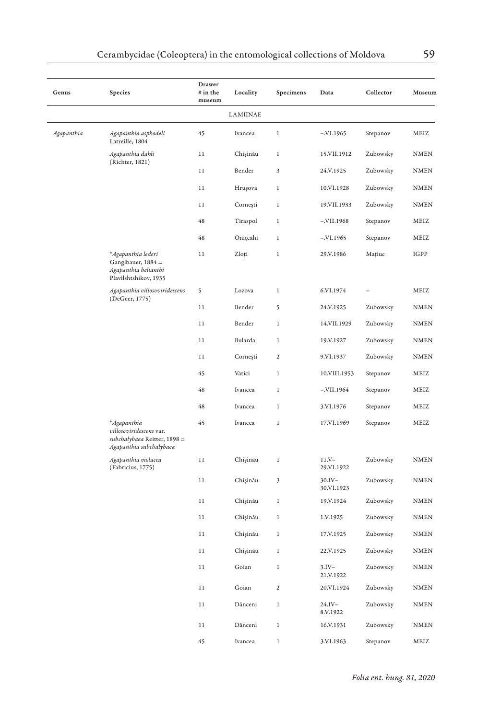| Genus          | Species                                                                                           | Drawer<br># in the<br>museum | Locality | Specimens    | Data                    | Collector | Museum                 |
|----------------|---------------------------------------------------------------------------------------------------|------------------------------|----------|--------------|-------------------------|-----------|------------------------|
|                |                                                                                                   |                              | LAMIINAE |              |                         |           |                        |
| Agapanthia     | Agapanthia asphodeli<br>Latreille, 1804                                                           | 45                           | Ivancea  | $\,1$        | $-.VI.1965$             | Stepanov  | MEIZ                   |
|                | Agapanthia dahli<br>(Richter, 1821)                                                               | 11                           | Chișinău | $\,1$        | 15.VII.1912             | Zubowsky  | NMEN                   |
|                |                                                                                                   | 11                           | Bender   | 3            | 24.V.1925               | Zubowsky  | <b>NMEN</b>            |
|                |                                                                                                   | 11                           | Hrușova  | 1            | 10.VI.1928              | Zubowsky  | <b>NMEN</b>            |
|                |                                                                                                   | 11                           | Cornești | $\,1$        | 19.VII.1933             | Zubowsky  | <b>NMEN</b>            |
|                |                                                                                                   | 48                           | Tiraspol | $\,1$        | $-.VII.1968$            | Stepanov  | MEIZ                   |
|                |                                                                                                   | 48                           | Onițcahi | $\,1$        | $-XI.1965$              | Stepanov  | MEIZ                   |
|                | * Agapanthia lederi<br>Ganglbauer, 1884 =<br>Agapanthia helianthi<br>Plavilshtshikov, 1935        | 11                           | Zloți    | $\,1$        | 29.V.1986               | Mațiuc    | IGPP                   |
| (DeGeer, 1775) | Agapanthia villosoviridescens                                                                     | 5                            | Lozova   | $\,1$        | 6.VI.1974               |           | MEIZ                   |
|                |                                                                                                   | 11                           | Bender   | 5            | 24.V.1925               | Zubowsky  | <b>NMEN</b>            |
|                |                                                                                                   | 11                           | Bender   | $\,1$        | 14.VII.1929             | Zubowsky  | $\textsc{NMEN}\xspace$ |
|                |                                                                                                   | 11                           | Bularda  | $\,1$        | 19.V.1927               | Zubowsky  | <b>NMEN</b>            |
|                |                                                                                                   | 11                           | Cornești | 2            | 9.VI.1937               | Zubowsky  | <b>NMEN</b>            |
|                |                                                                                                   | 45                           | Vatici   | $\,1$        | 10.VIII.1953            | Stepanov  | MEIZ                   |
|                |                                                                                                   | 48                           | Ivancea  | $\,1$        | $-.VII.1964$            | Stepanov  | MEIZ                   |
|                |                                                                                                   | 48                           | Ivancea  | $\,1$        | 3.VI.1976               | Stepanov  | MEIZ                   |
|                | *Agapanthia<br>villosoviridescens var.<br>subchalybaea Reitter, 1898 =<br>Agapanthia subchalybaea | 45                           | Ivancea  | $\mathbf{1}$ | 17.VI.1969              | Stepanov  | MEIZ                   |
|                | Agapanthia violacea<br>(Fabricius, 1775)                                                          | 11                           | Chișinău | $\,1$        | $11.V -$<br>29.VI.1922  | Zubowsky  | <b>NMEN</b>            |
|                |                                                                                                   | 11                           | Chișinău | 3            | $30.IV -$<br>30.VI.1923 | Zubowsky  | <b>NMEN</b>            |
|                |                                                                                                   | 11                           | Chișinău | $\,1$        | 19.V.1924               | Zubowsky  | <b>NMEN</b>            |
|                |                                                                                                   | 11                           | Chișinău | $\,1$        | 1.V.1925                | Zubowsky  | <b>NMEN</b>            |
|                |                                                                                                   | 11                           | Chișinău | 1            | 17.V.1925               | Zubowsky  | NMEN                   |
|                |                                                                                                   | 11                           | Chișinău | $\,1\,$      | 22.V.1925               | Zubowsky  | <b>NMEN</b>            |
|                |                                                                                                   | 11                           | Goian    | $\,1$        | $3.IV-$<br>21.V.1922    | Zubowsky  | <b>NMEN</b>            |
|                |                                                                                                   | 11                           | Goian    | $\mathbf 2$  | 20.VI.1924              | Zubowsky  | <b>NMEN</b>            |
|                |                                                                                                   | 11                           | Dănceni  | $\,1$        | $24.IV -$<br>8.V.1922   | Zubowsky  | <b>NMEN</b>            |
|                |                                                                                                   | 11                           | Dănceni  | $\,1\,$      | 16.V.1931               | Zubowsky  | <b>NMEN</b>            |
|                |                                                                                                   | 45                           | Ivancea  | $\mathbf{1}$ | 3.VI.1963               | Stepanov  | MEIZ                   |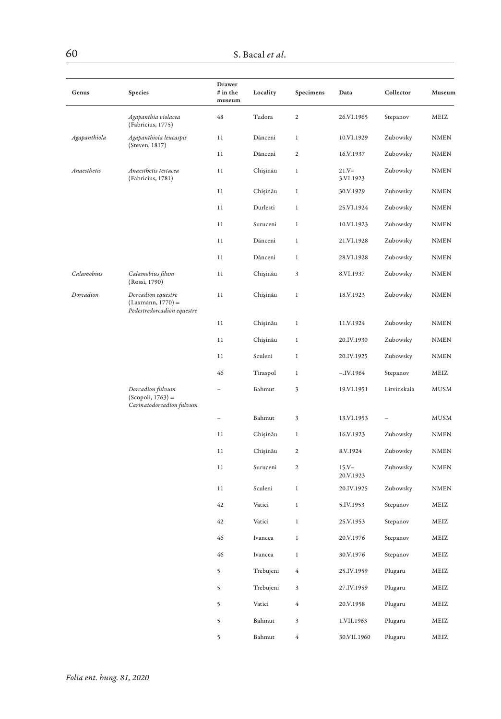| Genus        | Species                                                                 | Drawer<br>$#$ in the<br>museum | Locality  | Specimens      | Data                   | Collector   | Museum      |
|--------------|-------------------------------------------------------------------------|--------------------------------|-----------|----------------|------------------------|-------------|-------------|
|              | Agapanthia violacea<br>(Fabricius, 1775)                                | 48                             | Tudora    | $\mathbf 2$    | 26.VI.1965             | Stepanov    | MEIZ        |
| Agapanthiola | Agapanthiola leucaspis                                                  | 11                             | Dănceni   | 1              | 10.VI.1929             | Zubowsky    | <b>NMEN</b> |
|              | (Steven, 1817)                                                          | 11                             | Dănceni   | $\overline{c}$ | 16.V.1937              | Zubowsky    | <b>NMEN</b> |
| Anaesthetis  | Anaesthetis testacea<br>(Fabricius, 1781)                               | 11                             | Chișinău  | $\,1$          | $21.Y -$<br>3.VI.1923  | Zubowsky    | <b>NMEN</b> |
|              |                                                                         | 11                             | Chișinău  | $\,1$          | 30.V.1929              | Zubowsky    | NMEN        |
|              |                                                                         | 11                             | Durlesti  | $\,1$          | 25.VI.1924             | Zubowsky    | <b>NMEN</b> |
|              |                                                                         | 11                             | Suruceni  | $\,1$          | 10.VI.1923             | Zubowsky    | <b>NMEN</b> |
|              |                                                                         | 11                             | Dănceni   | $\,1$          | 21.VI.1928             | Zubowsky    | <b>NMEN</b> |
|              |                                                                         | 11                             | Dănceni   | 1              | 28.VI.1928             | Zubowsky    | <b>NMEN</b> |
| Calamobius   | Calamobius filum<br>(Rossi, 1790)                                       | 11                             | Chișinău  | 3              | 8.VI.1937              | Zubowsky    | <b>NMEN</b> |
| Dorcadion    | Dorcadion equestre<br>$(Laxmann, 1770) =$<br>Pedestredorcadion equestre | 11                             | Chișinău  | $1\,$          | 18.V.1923              | Zubowsky    | <b>NMEN</b> |
|              |                                                                         | 11                             | Chișinău  | $\,1$          | 11.V.1924              | Zubowsky    | <b>NMEN</b> |
|              |                                                                         | 11                             | Chișinău  | $\,1$          | 20.IV.1930             | Zubowsky    | <b>NMEN</b> |
|              |                                                                         | 11                             | Sculeni   | $\mathbf{1}$   | 20.IV.1925             | Zubowsky    | <b>NMEN</b> |
|              |                                                                         | 46                             | Tiraspol  | $\,1$          | $-.IV.1964$            | Stepanov    | MEIZ        |
|              | Dorcadion fulvum<br>$(Scopoli, 1763) =$<br>Carinatodorcadion fulvum     |                                | Bahmut    | 3              | 19.VI.1951             | Litvinskaia | <b>MUSM</b> |
|              |                                                                         |                                | Bahmut    | 3              | 13.VI.1953             |             | MUSM        |
|              |                                                                         | 11                             | Chişinău  | 1              | 16.V.1923              | Zubowsky    | <b>NMEN</b> |
|              |                                                                         | 11                             | Chișinău  | $\mathfrak 2$  | 8.V.1924               | Zubowsky    | <b>NMEN</b> |
|              |                                                                         | 11                             | Suruceni  | 2              | $15. V -$<br>20.V.1923 | Zubowsky    | NMEN        |
|              |                                                                         | 11                             | Sculeni   | $\,1$          | 20.IV.1925             | Zubowsky    | <b>NMEN</b> |
|              |                                                                         | 42                             | Vatici    | $\,1$          | 5.IV.1953              | Stepanov    | MEIZ        |
|              |                                                                         | 42                             | Vatici    | $\,1$          | 25.V.1953              | Stepanov    | MEIZ        |
|              |                                                                         | 46                             | Ivancea   | $\,1$          | 20.V.1976              | Stepanov    | MEIZ        |
|              |                                                                         | 46                             | Ivancea   | 1              | 30.V.1976              | Stepanov    | MEIZ        |
|              |                                                                         | 5                              | Trebujeni | $\overline{4}$ | 25.IV.1959             | Plugaru     | MEIZ        |
|              |                                                                         | 5                              | Trebujeni | 3              | 27.IV.1959             | Plugaru     | MEIZ        |
|              |                                                                         | 5                              | Vatici    | 4              | 20.V.1958              | Plugaru     | MEIZ        |
|              |                                                                         | 5                              | Bahmut    | 3              | 1.VII.1963             | Plugaru     | MEIZ        |
|              |                                                                         | 5                              | Bahmut    | 4              | 30.VII.1960            | Plugaru     | MEIZ        |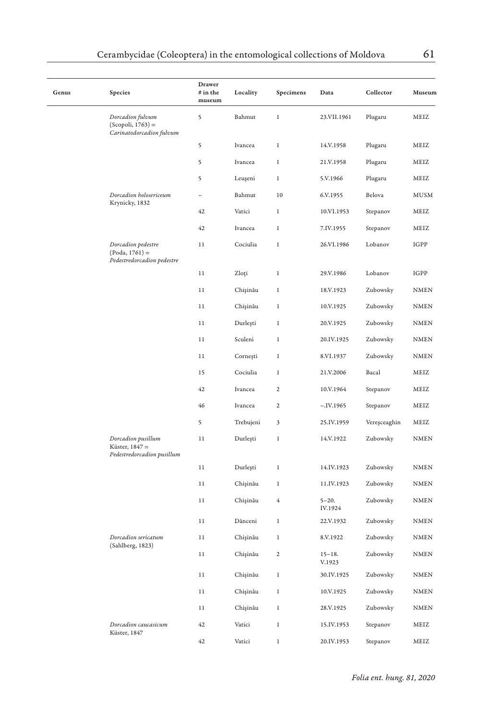| Genus | Species                                                              | Drawer<br># in the<br>museum | Locality  | Specimens      | Data                 | Collector    | Museum                 |
|-------|----------------------------------------------------------------------|------------------------------|-----------|----------------|----------------------|--------------|------------------------|
|       | Dorcadion fulvum<br>$(Scopoli, 1763) =$<br>Carinatodorcadion fulvum  | 5                            | Bahmut    | $\,1$          | 23.VII.1961          | Plugaru      | MEIZ                   |
|       |                                                                      | 5                            | Ivancea   | $\,1$          | 14.V.1958            | Plugaru      | MEIZ                   |
|       |                                                                      | 5                            | Ivancea   | $\,1$          | 21.V.1958            | Plugaru      | MEIZ                   |
|       |                                                                      | 5                            | Leuşeni   | $\,1$          | 5.V.1966             | Plugaru      | MEIZ                   |
|       | Dorcadion holosericeum                                               | ÷                            | Bahmut    | 10             | 6.V.1955             | Belova       | MUSM                   |
|       | Krynicky, 1832                                                       | 42                           | Vatici    | $\,1$          | 10.VI.1953           | Stepanov     | MEIZ                   |
|       |                                                                      | 42                           | Ivancea   | 1              | 7.IV.1955            | Stepanov     | MEIZ                   |
|       | Dorcadion pedestre<br>$(Poda, 1761) =$<br>Pedestredorcadion pedestre | 11                           | Cociulia  | $\,1$          | 26.VI.1986           | Lobanov      | IGPP                   |
|       |                                                                      | 11                           | Zloți     | $\,$ 1 $\,$    | 29.V.1986            | Lobanov      | IGPP                   |
|       |                                                                      | 11                           | Chișinău  | $\,1$          | 18.V.1923            | Zubowsky     | NMEN                   |
|       |                                                                      | 11                           | Chișinău  | $\,1$          | 10.V.1925            | Zubowsky     | NMEN                   |
|       |                                                                      | 11                           | Durleşti  | $\,1$          | 20.V.1925            | Zubowsky     | <b>NMEN</b>            |
|       |                                                                      | 11                           | Sculeni   | $\,1$          | 20.IV.1925           | Zubowsky     | <b>NMEN</b>            |
|       |                                                                      | 11                           | Cornești  | $\,1$          | 8.VI.1937            | Zubowsky     | <b>NMEN</b>            |
|       |                                                                      | 15                           | Cociulia  | $\,1$          | 21.V.2006            | Bacal        | MEIZ                   |
|       |                                                                      | 42                           | Ivancea   | $\overline{c}$ | 10.V.1964            | Stepanov     | MEIZ                   |
|       |                                                                      | 46                           | Ivancea   | $\mathbf 2$    | $-.IV.1965$          | Stepanov     | MEIZ                   |
|       |                                                                      | 5                            | Trebujeni | 3              | 25.IV.1959           | Vereșceaghin | MEIZ                   |
|       | Dorcadion pusillum<br>Küster, 1847 =<br>Pedestredorcadion pusillum   | 11                           | Durleşti  | $\,1$          | 14.V.1922            | Zubowsky     | <b>NMEN</b>            |
|       |                                                                      | 11                           | Durleşti  | $\,1$          | 14.IV.1923           | Zubowsky     | $\textsc{NMEN}\xspace$ |
|       |                                                                      | 11                           | Chișinău  | $\,1$          | 11.IV.1923           | Zubowsky     | $\texttt{NMEN}$        |
|       |                                                                      | 11                           | Chișinău  | 4              | $5 - 20.$<br>IV.1924 | Zubowsky     | NMEN                   |
|       |                                                                      | 11                           | Dănceni   | $\,1$          | 22.V.1932            | Zubowsky     | NMEN                   |
|       | Dorcadion sericatum                                                  | 11                           | Chișinău  | $\,1$          | 8.V.1922             | Zubowsky     | <b>NMEN</b>            |
|       | (Sahlberg, 1823)                                                     | 11                           | Chișinău  | $\sqrt{2}$     | $15 - 18.$<br>V.1923 | Zubowsky     | <b>NMEN</b>            |
|       |                                                                      | 11                           | Chișinău  | $\,1$          | 30.IV.1925           | Zubowsky     | <b>NMEN</b>            |
|       |                                                                      | 11                           | Chişinău  | $\,1$          | 10.V.1925            | Zubowsky     | NMEN                   |
|       |                                                                      | 11                           | Chișinău  | $\,1$          | 28.V.1925            | Zubowsky     | NMEN                   |
|       | Dorcadion caucasicum                                                 | 42                           | Vatici    | $\,1$          | 15.IV.1953           | Stepanov     | MEIZ                   |
|       | Küster, 1847                                                         | 42                           | Vatici    | 1              | 20.IV.1953           | Stepanov     | MEIZ                   |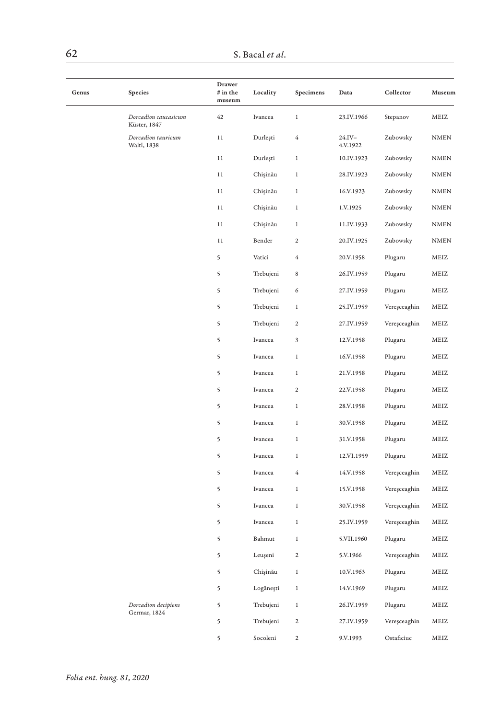| Genus | Species                              | Drawer<br># in the<br>museum | Locality  | Specimens      | Data                  | Collector    | Museum                 |
|-------|--------------------------------------|------------------------------|-----------|----------------|-----------------------|--------------|------------------------|
|       | Dorcadion caucasicum<br>Küster, 1847 | 42                           | Ivancea   | $\,1$          | 23.IV.1966            | Stepanov     | MEIZ                   |
|       | Dorcadion tauricum<br>Waltl, 1838    | 11                           | Durleşti  | $\sqrt{4}$     | $24.IV -$<br>4.V.1922 | Zubowsky     | $\textit{NMEN}$        |
|       |                                      | 11                           | Durleşti  | $\,1$          | 10.IV.1923            | Zubowsky     | $\textsc{NMEN}\xspace$ |
|       |                                      | 11                           | Chișinău  | $\,1$          | 28.IV.1923            | Zubowsky     | NMEN                   |
|       |                                      | 11                           | Chișinău  | $\,1$          | 16.V.1923             | Zubowsky     | NMEN                   |
|       |                                      | 11                           | Chișinău  | $\,1$          | 1.V.1925              | Zubowsky     | $\textsc{NMEN}\xspace$ |
|       |                                      | 11                           | Chișinău  | $\,1$          | 11.IV.1933            | Zubowsky     | $\textsc{NMEN}\xspace$ |
|       |                                      | 11                           | Bender    | $\sqrt{2}$     | 20.IV.1925            | Zubowsky     | $\textsc{NMEN}\xspace$ |
|       |                                      | 5                            | Vatici    | $\bf 4$        | 20.V.1958             | Plugaru      | MEIZ                   |
|       |                                      | 5                            | Trebujeni | 8              | 26.IV.1959            | Plugaru      | MEIZ                   |
|       |                                      | 5                            | Trebujeni | 6              | 27.IV.1959            | Plugaru      | MEIZ                   |
|       |                                      | 5                            | Trebujeni | $\,1$          | 25.IV.1959            | Vereșceaghin | MEIZ                   |
|       |                                      | 5                            | Trebujeni | $\mathfrak 2$  | 27.IV.1959            | Vereșceaghin | MEIZ                   |
|       |                                      | 5                            | Ivancea   | 3              | 12.V.1958             | Plugaru      | MEIZ                   |
|       |                                      | 5                            | Ivancea   | $\,1$          | 16.V.1958             | Plugaru      | MEIZ                   |
|       |                                      | 5                            | Ivancea   | $\,1$          | 21.V.1958             | Plugaru      | MEIZ                   |
|       |                                      | 5                            | Ivancea   | $\mathbf{2}$   | 22.V.1958             | Plugaru      | MEIZ                   |
|       |                                      | 5                            | Ivancea   | $\,1$          | 28.V.1958             | Plugaru      | MEIZ                   |
|       |                                      | 5                            | Ivancea   | $\,1$          | 30.V.1958             | Plugaru      | MEIZ                   |
|       |                                      | 5                            | Ivancea   | $\,1$          | 31.V.1958             | Plugaru      | MEIZ                   |
|       |                                      | 5                            | Ivancea   | $\,1$          | 12.VI.1959            | Plugaru      | MEIZ                   |
|       |                                      | 5                            | Ivancea   | 4              | 14.V.1958             | Vereșceaghin | MEIZ                   |
|       |                                      | 5                            | Ivancea   | $\,1$          | 15.V.1958             | Vereșceaghin | MEIZ                   |
|       |                                      | 5                            | Ivancea   | $\,1$          | 30.V.1958             | Vereșceaghin | MEIZ                   |
|       |                                      | 5                            | Ivancea   | $\,1$          | 25.IV.1959            | Vereșceaghin | MEIZ                   |
|       |                                      | 5                            | Bahmut    | $\,1$          | 5.VII.1960            | Plugaru      | MEIZ                   |
|       |                                      | 5                            | Leușeni   | $\overline{c}$ | 5.V.1966              | Vereșceaghin | MEIZ                   |
|       |                                      | 5                            | Chișinău  | $\,1$          | 10.V.1963             | Plugaru      | MEIZ                   |
|       |                                      | 5                            | Logănești | $\,1$          | 14.V.1969             | Plugaru      | MEIZ                   |
|       | Dorcadion decipiens                  | 5                            | Trebujeni | $\,1$          | 26.IV.1959            | Plugaru      | MEIZ                   |
|       | Germar, 1824                         | 5                            | Trebujeni | $\mathbf{2}$   | 27.IV.1959            | Vereșceaghin | MEIZ                   |
|       |                                      | 5                            | Socoleni  | $\overline{c}$ | 9.V.1993              | Ostaficiuc   | MEIZ                   |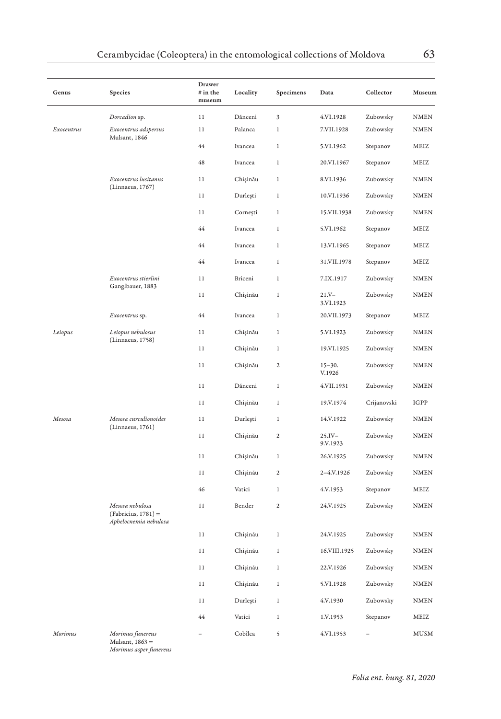| Genus      | Species                                                           | Drawer<br># in the<br>museum | Locality | Specimens      | Data                  | Collector   | Museum      |
|------------|-------------------------------------------------------------------|------------------------------|----------|----------------|-----------------------|-------------|-------------|
|            | Dorcadion sp.                                                     | 11                           | Dănceni  | 3              | 4.VI.1928             | Zubowsky    | <b>NMEN</b> |
| Exocentrus | Exocentrus adspersus                                              | 11                           | Palanca  | 1              | 7.VII.1928            | Zubowsky    | <b>NMEN</b> |
|            | Mulsant, 1846                                                     | 44                           | Ivancea  | $\mathbf{1}$   | 5.VI.1962             | Stepanov    | MEIZ        |
|            |                                                                   | 48                           | Ivancea  | 1              | 20.VI.1967            | Stepanov    | MEIZ        |
|            | Exocentrus lusitanus                                              | 11                           | Chișinău | 1              | 8.VI.1936             | Zubowsky    | <b>NMEN</b> |
|            | (Linnaeus, 1767)                                                  | 11                           | Durleşti | $\mathbf{1}$   | 10.VI.1936            | Zubowsky    | <b>NMEN</b> |
|            |                                                                   | 11                           | Cornești | $\mathbf{1}$   | 15.VII.1938           | Zubowsky    | <b>NMEN</b> |
|            |                                                                   | 44                           | Ivancea  | 1              | 5.VI.1962             | Stepanov    | MEIZ        |
|            |                                                                   | 44                           | Ivancea  | $\mathbf{1}$   | 13.VI.1965            | Stepanov    | MEIZ        |
|            |                                                                   | 44                           | Ivancea  | $\,1$          | 31.VII.1978           | Stepanov    | MEIZ        |
|            | Exocentrus stierlini                                              | 11                           | Briceni  | 1              | 7.IX.1917             | Zubowsky    | <b>NMEN</b> |
|            | Ganglbauer, 1883                                                  | 11                           | Chișinău | $\,1$          | $21.Y -$<br>3.VI.1923 | Zubowsky    | <b>NMEN</b> |
|            | Exocentrus sp.                                                    | 44                           | Ivancea  | $\,1$          | 20.VII.1973           | Stepanov    | MEIZ        |
| Leiopus    | Leiopus nebulosus                                                 | 11                           | Chișinău | $\mathbf{1}$   | 5.VI.1923             | Zubowsky    | <b>NMEN</b> |
|            | (Linnaeus, 1758)                                                  | 11                           | Chișinău | $\,1$          | 19.VI.1925            | Zubowsky    | <b>NMEN</b> |
|            |                                                                   | 11                           | Chișinău | 2              | $15 - 30.$<br>V.1926  | Zubowsky    | <b>NMEN</b> |
|            |                                                                   | 11                           | Dănceni  | $\mathbf{1}$   | 4.VII.1931            | Zubowsky    | <b>NMEN</b> |
|            |                                                                   | 11                           | Chișinău | 1              | 19.V.1974             | Crijanovski | IGPP        |
| Mesosa     | Mesosa curculionoides                                             | 11                           | Durlești | $\mathbf{1}$   | 14.V.1922             | Zubowsky    | <b>NMEN</b> |
|            | (Linnaeus, 1761)                                                  | 11                           | Chișinău | $\mathfrak{2}$ | $25.IV -$<br>9.V.1923 | Zubowsky    | <b>NMEN</b> |
|            |                                                                   | 11                           | Chișinău | $\,1$          | 26.V.1925             | Zubowsky    | <b>NMEN</b> |
|            |                                                                   | 11                           | Chișinău | 2              | 2-4.V.1926            | Zubowsky    | <b>NMEN</b> |
|            |                                                                   | 46                           | Vatici   | $\,1$          | 4.V.1953              | Stepanov    | MEIZ        |
|            | Mesosa nebulosa<br>$(Fabricius, 1781) =$<br>Aphelocnemia nebulosa | 11                           | Bender   | $\mathbf 2$    | 24.V.1925             | Zubowsky    | <b>NMEN</b> |
|            |                                                                   | 11                           | Chișinău | $\,1$          | 24.V.1925             | Zubowsky    | <b>NMEN</b> |
|            |                                                                   | 11                           | Chișinău | $\,$ 1         | 16.VIII.1925          | Zubowsky    | <b>NMEN</b> |
|            |                                                                   | 11                           | Chișinău | $\,1$          | 22.V.1926             | Zubowsky    | <b>NMEN</b> |
|            |                                                                   | $1\,1$                       | Chișinău | 1              | 5.VI.1928             | Zubowsky    | <b>NMEN</b> |
|            |                                                                   | 11                           | Durlești | 1              | 4.V.1930              | Zubowsky    | <b>NMEN</b> |
|            |                                                                   | 44                           | Vatici   | $\,1$          | 1.V.1953              | Stepanov    | MEIZ        |
| Morimus    | Morimus funereus<br>Mulsant, 1863 =                               |                              | Cobîlca  | 5              | 4.VI.1953             |             | <b>MUSM</b> |

*Morimus asper funereus*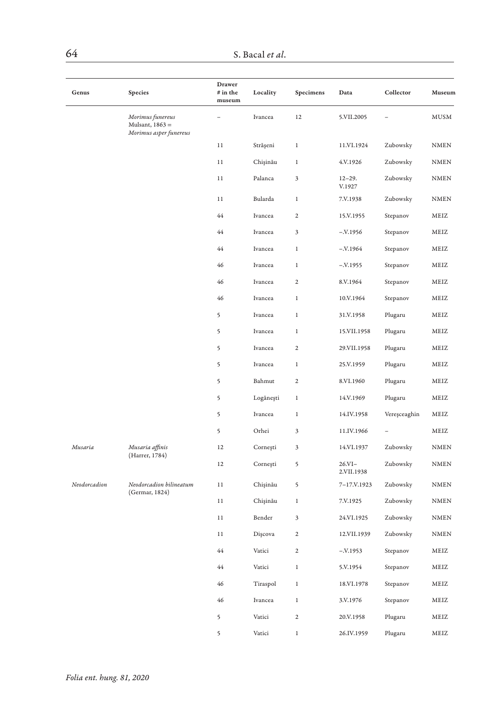| Genus        | Species                                                       | Drawer<br># in the<br>museum | Locality  | Specimens                 | Data                    | Collector    | Museum                 |
|--------------|---------------------------------------------------------------|------------------------------|-----------|---------------------------|-------------------------|--------------|------------------------|
|              | Morimus funereus<br>Mulsant, 1863 =<br>Morimus asper funereus |                              | Ivancea   | 12                        | 5.VII.2005              |              | MUSM                   |
|              |                                                               | 11                           | Strășeni  | $\,1$                     | 11.VI.1924              | Zubowsky     | NMEN                   |
|              |                                                               | 11                           | Chișinău  | $\,1$                     | 4.V.1926                | Zubowsky     | NMEN                   |
|              |                                                               | $11\,$                       | Palanca   | 3                         | $12 - 29.$<br>V.1927    | Zubowsky     | $\textsc{NMEN}\xspace$ |
|              |                                                               | 11                           | Bularda   | $\,1$                     | 7.V.1938                | Zubowsky     | <b>NMEN</b>            |
|              |                                                               | 44                           | Ivancea   | $\mathbf 2$               | 15.V.1955               | Stepanov     | MEIZ                   |
|              |                                                               | 44                           | Ivancea   | 3                         | $-.V.1956$              | Stepanov     | MEIZ                   |
|              |                                                               | 44                           | Ivancea   | $\,1$                     | $-.V.1964$              | Stepanov     | MEIZ                   |
|              |                                                               | 46                           | Ivancea   | $\,1$                     | $-.V.1955$              | Stepanov     | MEIZ                   |
|              |                                                               | 46                           | Ivancea   | $\mathfrak{2}$            | 8.V.1964                | Stepanov     | MEIZ                   |
|              |                                                               | 46                           | Ivancea   | $\mathbf{1}$              | 10.V.1964               | Stepanov     | MEIZ                   |
|              |                                                               | 5                            | Ivancea   | $\mathbf{1}$              | 31.V.1958               | Plugaru      | MEIZ                   |
|              |                                                               | 5                            | Ivancea   | $\,1$                     | 15.VII.1958             | Plugaru      | MEIZ                   |
|              |                                                               | 5                            | Ivancea   | $\mathfrak 2$             | 29.VII.1958             | Plugaru      | MEIZ                   |
|              |                                                               | 5                            | Ivancea   | $\,1$                     | 25.V.1959               | Plugaru      | MEIZ                   |
|              |                                                               | 5                            | Bahmut    | $\overline{c}$            | 8.VI.1960               | Plugaru      | MEIZ                   |
|              |                                                               | 5                            | Logănești | $\,1\,$                   | 14.V.1969               | Plugaru      | MEIZ                   |
|              |                                                               | 5                            | Ivancea   | $\,1\,$                   | 14.IV.1958              | Vereșceaghin | MEIZ                   |
|              |                                                               | 5                            | Orhei     | $\ensuremath{\mathsf{3}}$ | 11.IV.1966              |              | MEIZ                   |
| Musaria      | Musaria affinis<br>(Harrer, 1784)                             | 12                           | Cornești  | $\ensuremath{\mathsf{3}}$ | 14.VI.1937              | Zubowsky     | <b>NMEN</b>            |
|              |                                                               | 12                           | Cornești  | 5                         | $26.VI -$<br>2.VII.1938 | Zubowsky     | <b>NMEN</b>            |
| Neodorcadion | Neodorcadion bilineatum<br>(Germar, 1824)                     | 11                           | Chișinău  | 5                         | 7-17.V.1923             | Zubowsky     | <b>NMEN</b>            |
|              |                                                               | 11                           | Chișinău  | $\,1$                     | 7.V.1925                | Zubowsky     | <b>NMEN</b>            |
|              |                                                               | 11                           | Bender    | $\ensuremath{\mathsf{3}}$ | 24.VI.1925              | Zubowsky     | <b>NMEN</b>            |
|              |                                                               | 11                           | Dişcova   | $\mathfrak 2$             | 12.VII.1939             | Zubowsky     | <b>NMEN</b>            |
|              |                                                               | 44                           | Vatici    | $\mathbf 2$               | $-.V.1953$              | Stepanov     | MEIZ                   |
|              |                                                               | 44                           | Vatici    | $\,1\,$                   | 5.V.1954                | Stepanov     | MEIZ                   |
|              |                                                               | 46                           | Tiraspol  | $\,1\,$                   | 18.VI.1978              | Stepanov     | MEIZ                   |
|              |                                                               | 46                           | Ivancea   | $\,1$                     | 3.V.1976                | Stepanov     | MEIZ                   |
|              |                                                               | 5                            | Vatici    | $\mathbf 2$               | 20.V.1958               | Plugaru      | MEIZ                   |
|              |                                                               | 5                            | Vatici    | $\mathbf{1}$              | 26.IV.1959              | Plugaru      | $\rm MEIZ$             |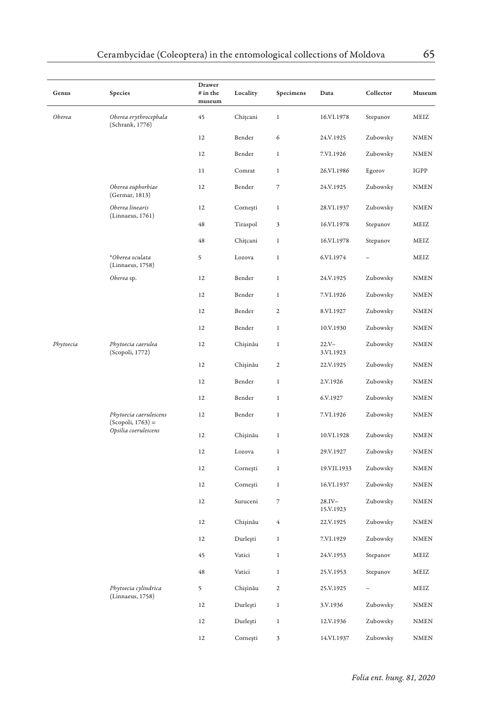| Genus     | Species                                       | Drawer<br># in the<br>museum | Locality | Specimens                | Data                  | Collector | Museum      |
|-----------|-----------------------------------------------|------------------------------|----------|--------------------------|-----------------------|-----------|-------------|
| Oberea    | Oberea erythrocephala<br>(Schrank, 1776)      | 45                           | Chitcani | $\,1$                    | 16.VI.1978            | Stepanov  | MEIZ        |
|           |                                               | 12                           | Bender   | 6                        | 24.V.1925             | Zubowsky  | <b>NMEN</b> |
|           |                                               | 12                           | Bender   | $\,1$                    | 7.VI.1926             | Zubowsky  | NMEN        |
|           |                                               | 11                           | Comrat   | 1                        | 26.VI.1986            | Egorov    | IGPP        |
|           | Oberea euphorbiae<br>(Germar, 1813)           | 12                           | Bender   | 7                        | 24.V.1925             | Zubowsky  | <b>NMEN</b> |
|           | Oberea linearis<br>(Linnaeus, 1761)           | 12                           | Cornești | $\,1$                    | 28.VI.1937            | Zubowsky  | <b>NMEN</b> |
|           |                                               | 48                           | Tiraspol | 3                        | 16.VI.1978            | Stepanov  | MEIZ        |
|           |                                               | 48                           | Chițcani | $\mathbf{1}$             | 16.VI.1978            | Stepanov  | MEIZ        |
|           | *Oberea oculata<br>(Linnaeus, 1758)           | 5                            | Lozova   | $\mathbf{1}$             | 6.VI.1974             |           | MEIZ        |
|           | Oberea sp.                                    | 12                           | Bender   | $\,1$                    | 24.V.1925             | Zubowsky  | <b>NMEN</b> |
|           |                                               | 12                           | Bender   | $\,1$                    | 7.VI.1926             | Zubowsky  | <b>NMEN</b> |
|           |                                               | 12                           | Bender   | 2                        | 8.VI.1927             | Zubowsky  | <b>NMEN</b> |
|           |                                               | 12                           | Bender   | $\,1$                    | 10.V.1930             | Zubowsky  | <b>NMEN</b> |
| Phytoecia | Phytoecia caerulea<br>(Scopoli, 1772)         | 12                           | Chișinău | $\,1$                    | $22.Y -$<br>3.VI.1923 | Zubowsky  | <b>NMEN</b> |
|           |                                               | $12\,$                       | Chișinău | $\overline{\mathbf{c}}$  | 22.V.1925             | Zubowsky  | <b>NMEN</b> |
|           |                                               | 12                           | Bender   | $\,1$                    | 2.V.1926              | Zubowsky  | <b>NMEN</b> |
|           |                                               | $12\,$                       | Bender   | 1                        | 6.V.1927              | Zubowsky  | <b>NMEN</b> |
|           | Phytoecia caerulescens<br>$(Scopoli, 1763) =$ | 12                           | Bender   | $\,1$                    | 7.VI.1926             | Zubowsky  | <b>NMEN</b> |
|           | Opsilia coerulescens                          | 12                           | Chișinău | $\,1$                    | 10.VI.1928            | Zubowsky  | <b>NMEN</b> |
|           |                                               | 12                           | Lozova   | $1\,$                    | 29.V.1927             | Zubowsky  | <b>NMEN</b> |
|           |                                               | 12                           | Cornești | $\mathbf{1}$             | 19.VII.1933           | Zubowsky  | <b>NMEN</b> |
|           |                                               | 12                           | Cornești | $\mathbf{1}$             | 16.VI.1937            | Zubowsky  | <b>NMEN</b> |
|           |                                               | 12                           | Suruceni | $\overline{\phantom{a}}$ | 28.IV-<br>15.V.1923   | Zubowsky  | <b>NMEN</b> |
|           |                                               | 12                           | Chișinău | $\,4\,$                  | 22.V.1925             | Zubowsky  | <b>NMEN</b> |
|           |                                               | 12                           | Durlești | 1                        | 7.VI.1929             | Zubowsky  | <b>NMEN</b> |
|           |                                               | 45                           | Vatici   | 1                        | 24.V.1953             | Stepanov  | MEIZ        |
|           |                                               | 48                           | Vatici   | $\,1$                    | 25.V.1953             | Stepanov  | MEIZ        |
|           | Phytoecia cylindrica<br>(Linnaeus, 1758)      | 5                            | Chișinău | $\mathbf{2}$             | 25.V.1925             |           | MEIZ        |
|           |                                               | 12                           | Durleşti | $\mathbf{1}$             | 3.V.1936              | Zubowsky  | <b>NMEN</b> |
|           |                                               | 12                           | Durleşti | $\mathbf{1}$             | 12.V.1936             | Zubowsky  | <b>NMEN</b> |
|           |                                               | 12                           | Cornești | 3                        | 14.VI.1937            | Zubowsky  | <b>NMEN</b> |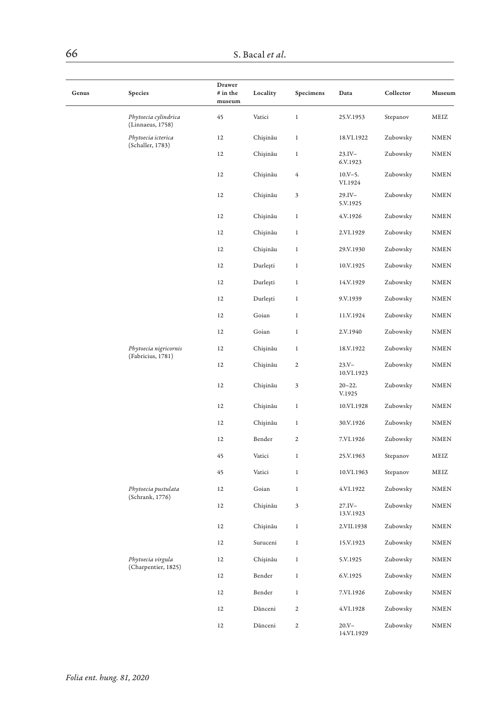| Genus | Species                                  | Drawer<br>$#$ in the<br>museum | Locality | Specimens    | Data                    | Collector | Museum      |
|-------|------------------------------------------|--------------------------------|----------|--------------|-------------------------|-----------|-------------|
|       | Phytoecia cylindrica<br>(Linnaeus, 1758) | 45                             | Vatici   | $\,$ 1       | 25.V.1953               | Stepanov  | MEIZ        |
|       | Phytoecia icterica                       | 12                             | Chișinău | $\,$ 1       | 18.VI.1922              | Zubowsky  | <b>NMEN</b> |
|       | (Schaller, 1783)                         | 12                             | Chișinău | $\,1$        | $23.IV -$<br>6.V.1923   | Zubowsky  | <b>NMEN</b> |
|       |                                          | 12                             | Chişinău | 4            | $10.V - 5.$<br>VI.1924  | Zubowsky  | <b>NMEN</b> |
|       |                                          | 12                             | Chişinău | 3            | $29.IV -$<br>5.V.1925   | Zubowsky  | <b>NMEN</b> |
|       |                                          | 12                             | Chişinău | $\,1$        | 4.V.1926                | Zubowsky  | <b>NMEN</b> |
|       |                                          | 12                             | Chișinău | $\,1$        | 2.VI.1929               | Zubowsky  | <b>NMEN</b> |
|       |                                          | 12                             | Chișinău | $\,1$        | 29.V.1930               | Zubowsky  | <b>NMEN</b> |
|       |                                          | 12                             | Durleşti | $\,1$        | 10.V.1925               | Zubowsky  | <b>NMEN</b> |
|       |                                          | 12                             | Durleşti | $\,1$        | 14.V.1929               | Zubowsky  | <b>NMEN</b> |
|       |                                          | 12                             | Durleşti | $\,1$        | 9.V.1939                | Zubowsky  | <b>NMEN</b> |
|       |                                          | 12                             | Goian    | $\,1$        | 11.V.1924               | Zubowsky  | <b>NMEN</b> |
|       |                                          | 12                             | Goian    | $\,1$        | 2.V.1940                | Zubowsky  | <b>NMEN</b> |
|       | Phytoecia nigricornis                    | 12                             | Chișinău | $\,1$        | 18.V.1922               | Zubowsky  | <b>NMEN</b> |
|       | (Fabricius, 1781)                        | 12                             | Chișinău | $\mathbf{2}$ | $23. V -$<br>10.VI.1923 | Zubowsky  | <b>NMEN</b> |
|       |                                          | 12                             | Chișinău | 3            | $20 - 22.$<br>V.1925    | Zubowsky  | <b>NMEN</b> |
|       |                                          | 12                             | Chișinău | $\,1$        | 10.VI.1928              | Zubowsky  | <b>NMEN</b> |
|       |                                          | 12                             | Chişinău | $\,1$        | 30.V.1926               | Zubowsky  | NMEN        |
|       |                                          | 12                             | Bender   | 2            | 7.VI.1926               | Zubowsky  | <b>NMEN</b> |
|       |                                          | 45                             | Vatici   | $\,1$        | 25.V.1963               | Stepanov  | MEIZ        |
|       |                                          | 45                             | Vatici   | $\,1$        | 10.VI.1963              | Stepanov  | MEIZ        |
|       | Phytoecia pustulata<br>(Schrank, 1776)   | 12                             | Goian    | $\mathbf{1}$ | 4.VI.1922               | Zubowsky  | <b>NMEN</b> |
|       |                                          | 12                             | Chișinău | 3            | $27.IV -$<br>13.V.1923  | Zubowsky  | <b>NMEN</b> |
|       |                                          | 12                             | Chișinău | $\,1$        | 2.VII.1938              | Zubowsky  | <b>NMEN</b> |
|       |                                          | 12                             | Suruceni | $\,1$        | 15.V.1923               | Zubowsky  | NMEN        |
|       | Phytoecia virgula                        | 12                             | Chișinău | 1            | 5.V.1925                | Zubowsky  | <b>NMEN</b> |
|       | (Charpentier, 1825)                      | 12                             | Bender   | $\,1$        | 6.V.1925                | Zubowsky  | <b>NMEN</b> |
|       |                                          | 12                             | Bender   | $\mathbf 1$  | 7.VI.1926               | Zubowsky  | <b>NMEN</b> |
|       |                                          | 12                             | Dănceni  | 2            | 4.VI.1928               | Zubowsky  | <b>NMEN</b> |
|       |                                          | 12                             | Dănceni  | $\mathbf{2}$ | $20.Y -$<br>14.VI.1929  | Zubowsky  | <b>NMEN</b> |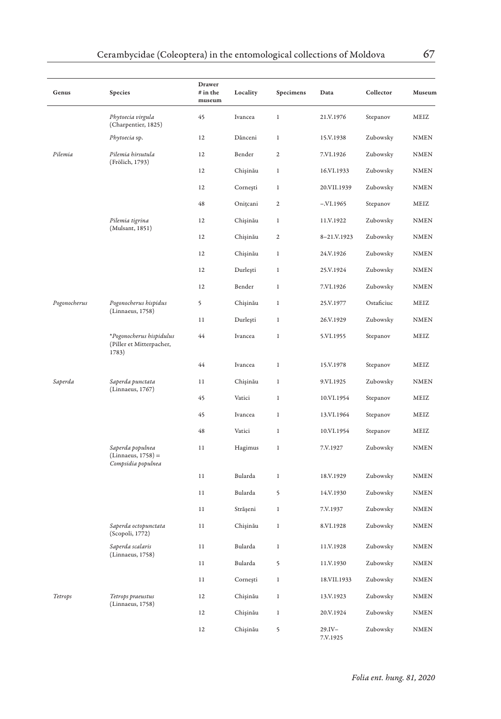| Genus                                                         | Species                                                        | Drawer<br># in the<br>museum | Locality | Specimens               | Data               | Collector  | Museum      |
|---------------------------------------------------------------|----------------------------------------------------------------|------------------------------|----------|-------------------------|--------------------|------------|-------------|
|                                                               | Phytoecia virgula<br>(Charpentier, 1825)                       | 45                           | Ivancea  | $\,1$                   | 21.V.1976          | Stepanov   | MEIZ        |
|                                                               | Phytoecia sp.                                                  | 12                           | Dănceni  | $\,1$                   | 15.V.1938          | Zubowsky   | <b>NMEN</b> |
| Pilemia                                                       | Pilemia hirsutula                                              | 12                           | Bender   | $\mathbf{2}$            | 7.VI.1926          | Zubowsky   | <b>NMEN</b> |
|                                                               | (Frölich, 1793)                                                | 12                           | Chișinău | $\,1$                   | 16.VI.1933         | Zubowsky   | <b>NMEN</b> |
|                                                               |                                                                | 12                           | Cornești | 1                       | 20.VII.1939        | Zubowsky   | <b>NMEN</b> |
|                                                               |                                                                | 48                           | Onițcani | $\overline{\mathbf{c}}$ | $-.VI.1965$        | Stepanov   | MEIZ        |
|                                                               | Pilemia tigrina                                                | 12                           | Chişinău | $\,1$                   | 11.V.1922          | Zubowsky   | <b>NMEN</b> |
|                                                               | (Mulsant, 1851)                                                | 12                           | Chișinău | $\overline{\mathbf{c}}$ | 8-21.V.1923        | Zubowsky   | <b>NMEN</b> |
|                                                               |                                                                | 12                           | Chișinău | $\,1$                   | 24.V.1926          | Zubowsky   | <b>NMEN</b> |
|                                                               |                                                                | 12                           | Durleşti | $\mathbf{1}$            | 25.V.1924          | Zubowsky   | <b>NMEN</b> |
|                                                               |                                                                | 12                           | Bender   | $\,1$                   | 7.VI.1926          | Zubowsky   | <b>NMEN</b> |
| Pogonocherus                                                  | Pogonocherus hispidus                                          | 5                            | Chișinău | $\,1$                   | 25.V.1977          | Ostaficiuc | MEIZ        |
|                                                               | (Linnaeus, 1758)                                               | 11                           | Durleşti | $\,1$                   | 26.V.1929          | Zubowsky   | <b>NMEN</b> |
| *Pogonocherus hispidulus<br>(Piller et Mitterpacher,<br>1783) | 44                                                             | Ivancea                      | $\,1$    | 5.VI.1955               | Stepanov           | MEIZ       |             |
|                                                               |                                                                | 44                           | Ivancea  | $\,1$                   | 15.V.1978          | Stepanov   | MEIZ        |
| Saperda                                                       | Saperda punctata                                               | 11                           | Chișinău | 1                       | 9.VI.1925          | Zubowsky   | NMEN        |
|                                                               | (Linnaeus, 1767)                                               | 45                           | Vatici   | $\mathbf{1}$            | 10.VI.1954         | Stepanov   | MEIZ        |
|                                                               |                                                                | 45                           | Ivancea  | $\,1$                   | 13.VI.1964         | Stepanov   | MEIZ        |
|                                                               |                                                                | 48                           | Vatici   | $\,1$                   | 10.VI.1954         | Stepanov   | MEIZ        |
|                                                               | Saperda populnea<br>$(Linnaeus, 1758) =$<br>Compsidia populnea | 11                           | Hagimus  | 1                       | 7.V.1927           | Zubowsky   | <b>NMEN</b> |
|                                                               |                                                                | 11                           | Bularda  | $\mathbf{1}$            | 18.V.1929          | Zubowsky   | <b>NMEN</b> |
|                                                               |                                                                | 11                           | Bularda  | 5                       | 14.V.1930          | Zubowsky   | NMEN        |
|                                                               |                                                                | 11                           | Strășeni | $\,1$                   | 7.V.1937           | Zubowsky   | <b>NMEN</b> |
|                                                               | Saperda octopunctata<br>(Scopoli, 1772)                        | 11                           | Chișinău | $\,1$                   | 8.VI.1928          | Zubowsky   | <b>NMEN</b> |
|                                                               | Saperda scalaris<br>(Linnaeus, 1758)                           | 11                           | Bularda  | $\,1$                   | 11.V.1928          | Zubowsky   | <b>NMEN</b> |
|                                                               |                                                                | 11                           | Bularda  | 5                       | 11.V.1930          | Zubowsky   | NMEN        |
|                                                               |                                                                | 11                           | Cornești | $\mathbf{1}$            | 18.VII.1933        | Zubowsky   | <b>NMEN</b> |
| Tetrops                                                       | Tetrops praeustus                                              | 12                           | Chișinău | $\,1$                   | 13.V.1923          | Zubowsky   | <b>NMEN</b> |
|                                                               | (Linnaeus, 1758)                                               | 12                           | Chișinău | $\,1$                   | 20.V.1924          | Zubowsky   | <b>NMEN</b> |
|                                                               |                                                                | 12                           | Chișinău | 5                       | 29.IV-<br>7.V.1925 | Zubowsky   | <b>NMEN</b> |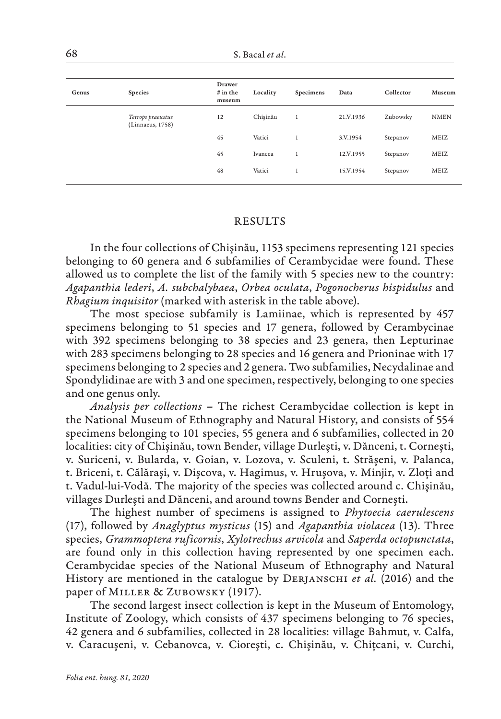| Genus | Species                               | <b>Drawer</b><br>$#$ in the<br>museum | Locality | Specimens | Data      | Collector | Museum      |
|-------|---------------------------------------|---------------------------------------|----------|-----------|-----------|-----------|-------------|
|       | Tetrops praeustus<br>(Linnaeus, 1758) | 12                                    | Chisinău | 1         | 21.V.1936 | Zubowsky  | <b>NMEN</b> |
|       |                                       | 45                                    | Vatici   | 1         | 3.V.1954  | Stepanov  | MEIZ        |
|       |                                       | 45                                    | Ivancea  | 1         | 12.V.1955 | Stepanov  | MEIZ        |
|       |                                       | 48                                    | Vatici   | 1         | 15.V.1954 | Stepanov  | MEIZ        |
|       |                                       |                                       |          |           |           |           |             |

#### RESULTS

In the four collections of Chişinău, 1153 specimens representing 121 species belonging to 60 genera and 6 subfamilies of Cerambycidae were found. These allowed us to complete the list of the family with 5 species new to the country: *Agapanthia lederi*, *A. subchalybaea*, *Orbea oculata*, *Pogonocherus hispidulus* and *Rhagium inquisitor* (marked with asterisk in the table above).

The most speciose subfamily is Lamiinae, which is represented by 457 specimens belonging to 51 species and 17 genera, followed by Cerambycinae with 392 specimens belonging to 38 species and 23 genera, then Lepturinae with 283 specimens belonging to 28 species and 16 genera and Prioninae with 17 specimens belonging to 2 species and 2 genera. Two subfamilies, Necydalinae and Spondylidinae are with 3 and one specimen, respectively, belonging to one species and one genus only.

*Analysis per collections* – The richest Cerambycidae collection is kept in the National Museum of Ethnography and Natural History, and consists of 554 specimens belonging to 101 species, 55 genera and 6 subfamilies, collected in 20 localities: city of Chişinău, town Bender, village Durleşti, v. Dănceni, t. Corneşti, v. Suriceni, v. Bularda, v. Goian, v. Lozova, v. Sculeni, t. Străşeni, v. Palanca, t. Briceni, t. Călăraşi, v. Dişcova, v. Hagimus, v. Hruşova, v. Minjir, v. Zloți and t. Vadul-lui-Vodă. The majority of the species was collected around c. Chişinău, villages Durleşti and Dănceni, and around towns Bender and Corneşti.

The highest number of specimens is assigned to *Phytoecia caerulescens*  (17), followed by *Anaglyptus mysticus* (15) and *Agapanthia violacea* (13). Three species, *Grammoptera ruficornis*, *Xylotrechus arvicola* and *Saperda octopunctata*, are found only in this collection having represented by one specimen each. Cerambycidae species of the National Museum of Ethnography and Natural History are mentioned in the catalogue by Derjanschi *et al.* (2016) and the paper of MILLER & ZUBOWSKY (1917).

The second largest insect collection is kept in the Museum of Entomology, Institute of Zoology, which consists of 437 specimens belonging to 76 species, 42 genera and 6 subfamilies, collected in 28 localities: village Bahmut, v. Calfa, v. Caracuşeni, v. Cebanovca, v. Cioreşti, c. Chişinău, v. Chițcani, v. Curchi,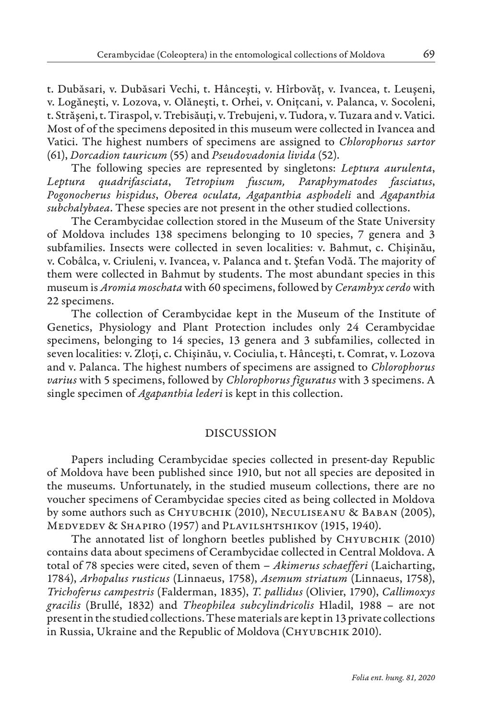t. Dubăsari, v. Dubăsari Vechi, t. Hânceşti, v. Hîrbovăț, v. Ivancea, t. Leuşeni, v. Logăneşti, v. Lozova, v. Olăneşti, t. Orhei, v. Onițcani, v. Palanca, v. Socoleni, t. Străşeni, t. Tiraspol, v. Trebisăuți, v. Trebujeni, v. Tudora, v. Tuzara and v. Vatici. Most of of the specimens deposited in this museum were collected in Ivancea and Vatici. The highest numbers of specimens are assigned to *Chlorophorus sartor*  (61), *Dorcadion tauricum* (55) and *Pseudovadonia livida* (52).

The following species are represented by singletons: *Leptura aurulenta*, *Leptura quadrifasciata*, *Tetropium fuscum, Paraphymatodes fasciatus*, *Pogonocherus hispidus*, *Oberea oculata, Agapanthia asphodeli* and *Agapanthia subchalybaea*. These species are not present in the other studied collections.

The Cerambycidae collection stored in the Museum of the State University of Moldova includes 138 specimens belonging to 10 species, 7 genera and 3 subfamilies. Insects were collected in seven localities: v. Bahmut, c. Chişinău, v. Cobâlca, v. Criuleni, v. Ivancea, v. Palanca and t. Ştefan Vodă. The majority of them were collected in Bahmut by students. The most abundant species in this museum is *Aromia moschata* with 60 specimens, followed by *Cerambyx cerdo* with 22 specimens.

The collection of Cerambycidae kept in the Museum of the Institute of Genetics, Physiology and Plant Protection includes only 24 Cerambycidae specimens, belonging to 14 species, 13 genera and 3 subfamilies, collected in seven localities: v. Zloți, c. Chişinău, v. Cociulia, t. Hânceşti, t. Comrat, v. Lozova and v. Palanca. The highest numbers of specimens are assigned to *Chlorophorus varius* with 5 specimens, followed by *Chlorophorus figuratus* with 3 specimens. A single specimen of *Agapanthia lederi* is kept in this collection.

### DISCUSSION

Papers including Cerambycidae species collected in present-day Republic of Moldova have been published since 1910, but not all species are deposited in the museums. Unfortunately, in the studied museum collections, there are no voucher specimens of Cerambycidae species cited as being collected in Moldova by some authors such as СНҮ UBCHIK (2010), NECULISEANU & BABAN (2005), Medvedev & Shapiro (1957) and Plavilshtshikov (1915, 1940).

The annotated list of longhorn beetles published by CHYUBCHIK (2010) contains data about specimens of Cerambycidae collected in Central Moldova. A total of 78 species were cited, seven of them – *Akimerus schaefferi* (Laicharting, 1784), *Arhopalus rusticus* (Linnaeus, 1758), *Asemum striatum* (Linnaeus, 1758), *Trichoferus campestris* (Falderman, 1835), *T. pallidus* (Olivier, 1790), *Callimoxys gracilis* (Brullé, 1832) and *Theophilea subcylindricolis* Hladil, 1988 – are not present in the studied collections. These materials are kept in 13 private collections in Russia, Ukraine and the Republic of Moldova (CHYUBCHIK 2010).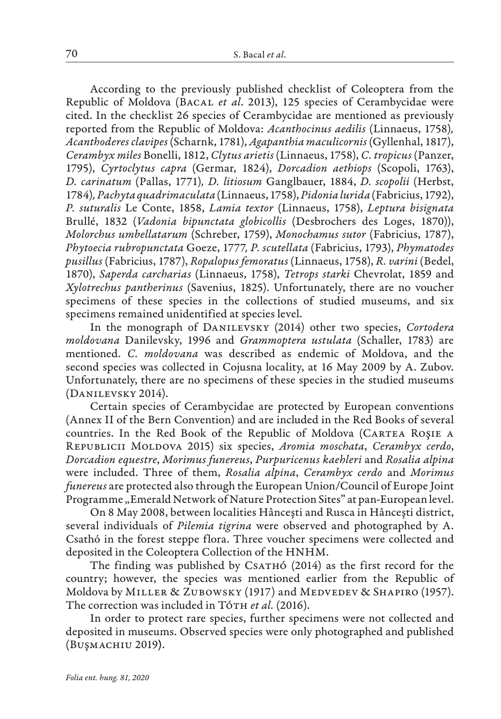According to the previously published checklist of Coleoptera from the Republic of Moldova (Bacal *et al*. 2013), 125 species of Cerambycidae were cited. In the checklist 26 species of Cerambycidae are mentioned as previously reported from the Republic of Moldova: *Acanthocinus aedilis* (Linnaeus, 1758)*, Acanthoderes clavipes* (Scharnk, 1781), *Agapanthia maculicornis* (Gyllenhal, 1817), *Cerambyx miles* Bonelli, 1812, *Clytus arietis* (Linnaeus, 1758), *C. tropicus* (Panzer, 1795), *Cyrtoclytus capra* (Germar, 1824), *Dorcadion aethiops* (Scopoli, 1763), *D. carinatum* (Pallas, 1771)*, D. litiosum* Ganglbauer, 1884, *D. scopolii* (Herbst, 1784)*, Pachyta quadrimaculata* (Linnaeus, 1758), *Pidonia lurida* (Fabricius, 1792), *P. suturalis* Le Conte, 1858, *Lamia textor* (Linnaeus, 1758), *Leptura bisignata* Brullé, 1832 (*Vadonia bipunctata globicollis* (Desbrochers des Loges, 1870)), *Molorchus umbellatarum* (Schreber, 1759), *Monochamus sutor* (Fabricius, 1787), *Phytoecia rubropunctata* Goeze, 1777*, P. scutellata* (Fabricius, 1793), *Phymatodes pusillus* (Fabricius, 1787), *Ropalopus femoratus* (Linnaeus, 1758), *R. varini* (Bedel, 1870), *Saperda carcharias* (Linnaeus, 1758), *Tetrops starki* Chevrolat, 1859 and *Xylotrechus pantherinus* (Savenius, 1825). Unfortunately, there are no voucher specimens of these species in the collections of studied museums, and six specimens remained unidentified at species level.

In the monograph of Danilevsky (2014) other two species, *Cortodera moldovana* Danilevsky, 1996 and *Grammoptera ustulata* (Schaller, 1783) are mentioned. *C. moldovana* was described as endemic of Moldova, and the second species was collected in Cojusna locality, at 16 May 2009 by A. Zubov. Unfortunately, there are no specimens of these species in the studied museums (Danilevsky 2014).

Certain species of Cerambycidae are protected by European conventions (Annex II of the Bern Convention) and are included in the Red Books of several countries. In the Red Book of the Republic of Moldova (CARTEA ROŞIE A Republicii Moldova 2015) six species, *Aromia moschata*, *Cerambyx cerdo*, *Dorcadion equestre*, *Morimus funereus*, *Purpuricenus kaehleri* and *Rosalia alpina* were included. Three of them, *Rosalia alpina*, *Cerambyx cerdo* and *Morimus funereus* are protected also through the European Union/Council of Europe Joint Programme "Emerald Network of Nature Protection Sites" at pan-European level.

On 8 May 2008, between localities Hânceşti and Rusca in Hânceşti district, several individuals of *Pilemia tigrina* were observed and photographed by A. Csathó in the forest steppe flora. Three voucher specimens were collected and deposited in the Coleoptera Collection of the HNHM.

The finding was published by CsATHÓ (2014) as the first record for the country; however, the species was mentioned earlier from the Republic of Moldova by MILLER & ZUBOWSKY (1917) and MEDVEDEV & SHAPIRO (1957). The correction was included in Tó<sub>TH</sub> et al. (2016).

In order to protect rare species, further specimens were not collected and deposited in museums. Observed species were only photographed and published (BUŞMACHIU 2019).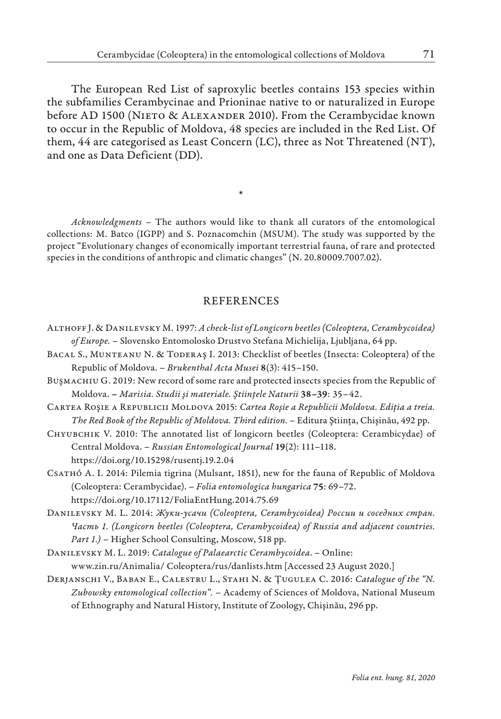The European Red List of saproxylic beetles contains 153 species within the subfamilies Cerambycinae and Prioninae native to or naturalized in Europe before AD 1500 (NIETO & ALEXANDER 2010). From the Cerambycidae known to occur in the Republic of Moldova, 48 species are included in the Red List. Of them, 44 are categorised as Least Concern (LC), three as Not Threatened (NT), and one as Data Deficient (DD).

*Acknowledgments –* The authors would like to thank all curators of the entomological collections: M. Batco (IGPP) and S. Poznacomchin (MSUM). The study was supported by the project "Evolutionary changes of economically important terrestrial fauna, of rare and protected species in the conditions of anthropic and climatic changes" (N. 20.80009.7007.02).

\*

# REFERENCES

- Althoff J. & Danilevsky M. 1997: *A check-list of Longicorn beetles (Coleoptera, Cerambycoidea) of Europe.* – Slovensko Entomolosko Drustvo Stefana Michielija, Ljubljana, 64 pp.
- Bacal S., Munteanu N. & Toderaş I. 2013: Checklist of beetles (Insecta: Coleoptera) of the Republic of Moldova. – *Brukenthal Acta Musei* 8(3): 415–150.
- BUŞMACHIU G. 2019: New record of some rare and protected insects species from the Republic of Moldova. – *Marisia. Studii şi materiale. Ştiințele Naturii* 38–39: 35–42.
- Cartea Roşie a Republicii Moldova 2015: *Cartea Roşie a Republicii Moldova. Ediția a treia. The Red Book of the Republic of Moldova. Third edition. –* Editura Ştiința, Chişinău, 492 pp.
- Chyubchik V. 2010: The annotated list of longicorn beetles (Coleoptera: Cerambicydae) of Central Moldova. – *Russian Entomological Journal* 19(2): 111–118. https://doi.org/10.15298/rusentj.19.2.04
- Csathó A. I. 2014: Pilemia tigrina (Mulsant, 1851), new for the fauna of Republic of Moldova (Coleoptera: Cerambycidae). – *Folia entomologica hungarica* 75: 69–72. https://doi.org/10.17112/FoliaEntHung.2014.75.69
- Danilevsky М. L. 2014: *Жуки-усачи (Coleoptera, Cerambycoidea) России и соседних стран. Часть 1. (Longicorn beetles (Coleoptera, Cerambycoidea) of Russia and adjacent countries. Part 1.)* – Higher School Consulting, Moscow, 518 pp.
- Danilevsky M. L. 2019: *Catalogue of Palaearctic Cerambycoidea*. Online: www.zin.ru/Animalia/ Coleoptera/rus/danlists.htm [Accessed 23 August 2020.]
- Derjanschi V., Baban E., Calestru L., Stahi N. & Ţugulea C. 2016: *Catalogue of the "N. Zubowsky entomological collection".* – Academy of Sciences of Moldova, National Museum of Ethnography and Natural History, Institute of Zoology, Chişinău, 296 pp.